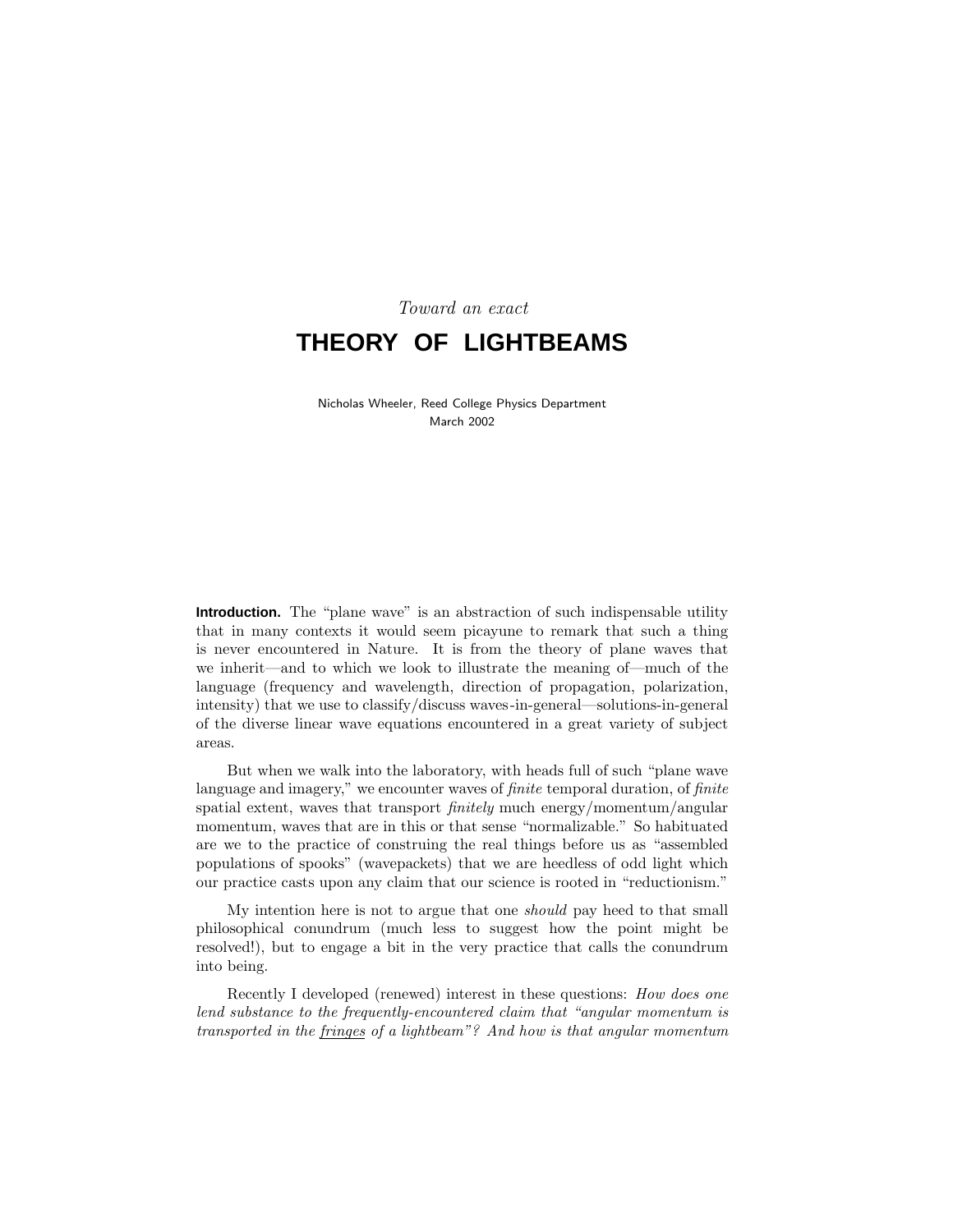# Toward an exact **THEORY OF LIGHTBEAMS**

Nicholas Wheeler, Reed College Physics Department March 2002

**Introduction.** The "plane wave" is an abstraction of such indispensable utility that in many contexts it would seem picayune to remark that such a thing is never encountered in Nature. It is from the theory of plane waves that we inherit—and to which we look to illustrate the meaning of—much of the language (frequency and wavelength, direction of propagation, polarization, intensity) that we use to classify/discuss waves-in-general—solutions-in-general of the diverse linear wave equations encountered in a great variety of subject areas.

But when we walk into the laboratory, with heads full of such "plane wave language and imagery," we encounter waves of *finite* temporal duration, of *finite* spatial extent, waves that transport *finitely* much energy/momentum/angular momentum, waves that are in this or that sense "normalizable." So habituated are we to the practice of construing the real things before us as "assembled populations of spooks" (wavepackets) that we are heedless of odd light which our practice casts upon any claim that our science is rooted in "reductionism."

My intention here is not to argue that one should pay heed to that small philosophical conundrum (much less to suggest how the point might be resolved!), but to engage a bit in the very practice that calls the conundrum into being.

Recently I developed (renewed) interest in these questions: How does one lend substance to the frequently-encountered claim that "angular momentum is transported in the fringes of a lightbeam"? And how is that angular momentum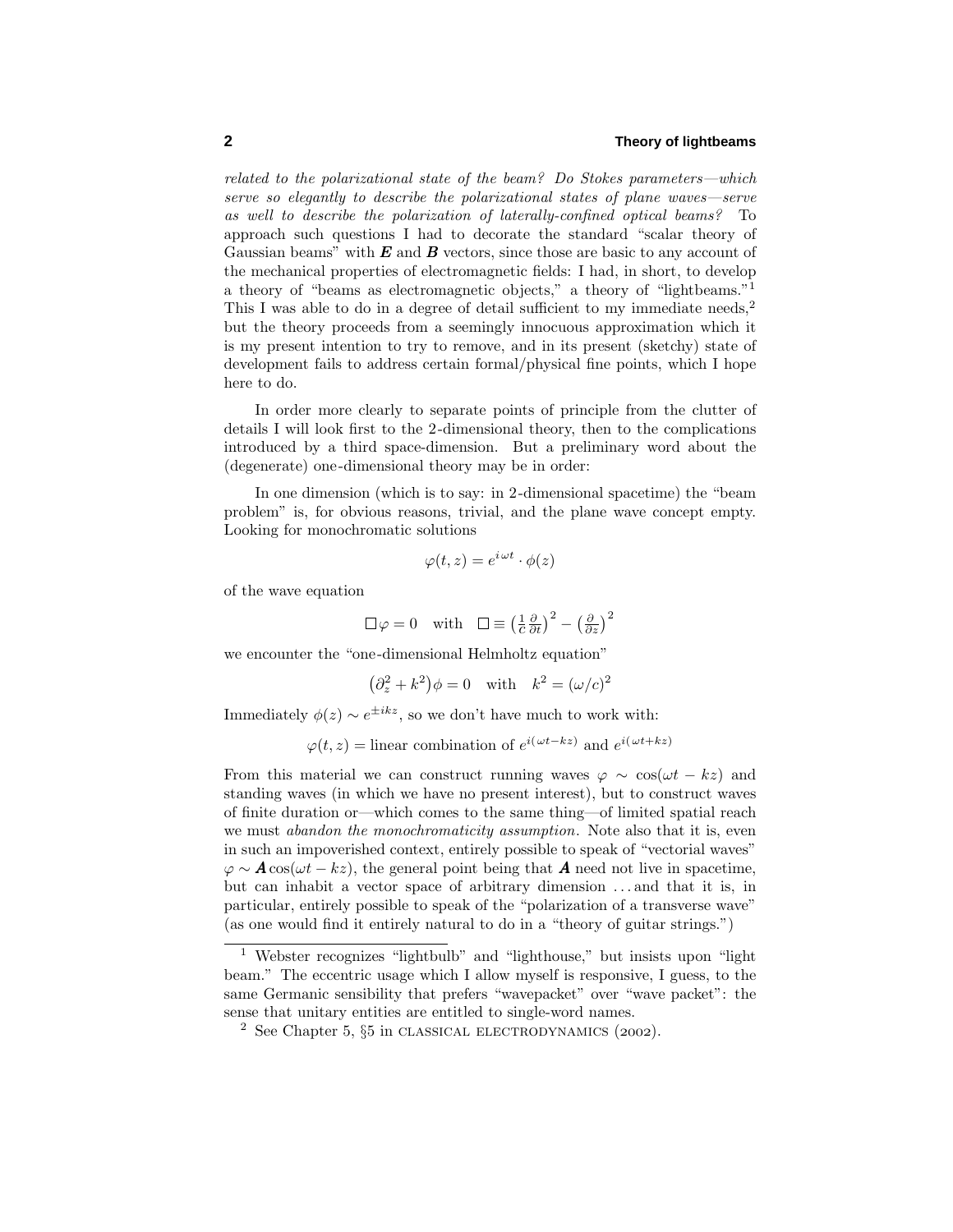related to the polarizational state of the beam? Do Stokes parameters—which serve so elegantly to describe the polarizational states of plane waves—serve as well to describe the polarization of laterally-confined optical beams? To approach such questions I had to decorate the standard "scalar theory of Gaussian beams" with *E* and *B* vectors, since those are basic to any account of the mechanical properties of electromagnetic fields: I had, in short, to develop a theory of "beams as electromagnetic objects," a theory of "lightbeams."<sup>1</sup> This I was able to do in a degree of detail sufficient to my immediate needs,<sup>2</sup> but the theory proceeds from a seemingly innocuous approximation which it is my present intention to try to remove, and in its present (sketchy) state of development fails to address certain formal/physical fine points, which I hope here to do.

In order more clearly to separate points of principle from the clutter of details I will look first to the 2-dimensional theory, then to the complications introduced by a third space-dimension. But a preliminary word about the (degenerate) one-dimensional theory may be in order:

In one dimension (which is to say: in 2-dimensional spacetime) the "beam problem" is, for obvious reasons, trivial, and the plane wave concept empty. Looking for monochromatic solutions

$$
\varphi(t, z) = e^{i \omega t} \cdot \phi(z)
$$

of the wave equation

$$
\Box \varphi = 0
$$
 with  $\Box \equiv \left(\frac{1}{c}\frac{\partial}{\partial t}\right)^2 - \left(\frac{\partial}{\partial z}\right)^2$ 

we encounter the "one-dimensional Helmholtz equation"

$$
(\partial_z^2 + k^2)\phi = 0 \quad \text{with} \quad k^2 = (\omega/c)^2
$$

Immediately  $\phi(z) \sim e^{\pm ikz}$ , so we don't have much to work with:

 $\varphi(t, z) =$ linear combination of  $e^{i(\omega t - kz)}$  and  $e^{i(\omega t + kz)}$ 

From this material we can construct running waves  $\varphi \sim \cos(\omega t - kz)$  and standing waves (in which we have no present interest), but to construct waves of finite duration or—which comes to the same thing—of limited spatial reach we must *abandon the monochromaticity assumption*. Note also that it is, even in such an impoverished context, entirely possible to speak of "vectorial waves"  $\varphi \sim A \cos(\omega t - kz)$ , the general point being that *A* need not live in spacetime, but can inhabit a vector space of arbitrary dimension *...* and that it is, in particular, entirely possible to speak of the "polarization of a transverse wave" (as one would find it entirely natural to do in a "theory of guitar strings.")

<sup>1</sup> Webster recognizes "lightbulb" and "lighthouse," but insists upon "light beam." The eccentric usage which I allow myself is responsive, I guess, to the same Germanic sensibility that prefers "wavepacket" over "wave packet": the sense that unitary entities are entitled to single-word names.

<sup>&</sup>lt;sup>2</sup> See Chapter 5,  $\S5$  in CLASSICAL ELECTRODYNAMICS (2002).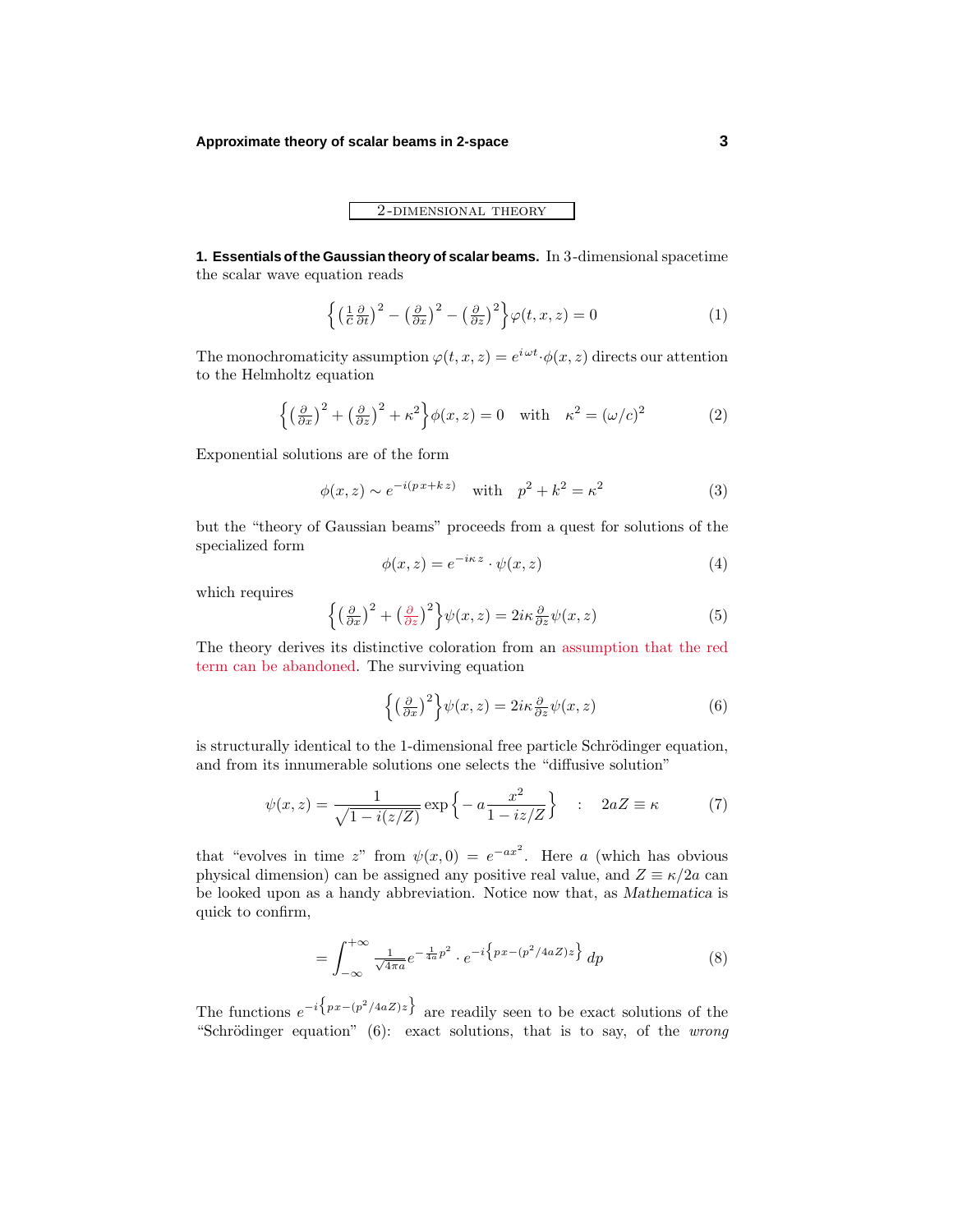# 2 -dimensional theory

**1. Essentials of the Gaussian theory of scalar beams.** In 3-dimensional spacetime the scalar wave equation reads

$$
\left\{ \left( \frac{1}{c} \frac{\partial}{\partial t} \right)^2 - \left( \frac{\partial}{\partial x} \right)^2 - \left( \frac{\partial}{\partial z} \right)^2 \right\} \varphi(t, x, z) = 0 \tag{1}
$$

The monochromaticity assumption  $\varphi(t, x, z) = e^{i\omega t} \cdot \varphi(x, z)$  directs our attention to the Helmholtz equation

$$
\left\{ \left(\frac{\partial}{\partial x}\right)^2 + \left(\frac{\partial}{\partial z}\right)^2 + \kappa^2 \right\} \phi(x, z) = 0 \quad \text{with} \quad \kappa^2 = (\omega/c)^2 \tag{2}
$$

Exponential solutions are of the form

$$
\phi(x, z) \sim e^{-i(px + kz)} \quad \text{with} \quad p^2 + k^2 = \kappa^2 \tag{3}
$$

but the "theory of Gaussian beams" proceeds from a quest for solutions of the specialized form

$$
\phi(x, z) = e^{-i\kappa z} \cdot \psi(x, z) \tag{4}
$$

which requires

$$
\left\{ \left(\frac{\partial}{\partial x}\right)^2 + \left(\frac{\partial}{\partial z}\right)^2 \right\} \psi(x, z) = 2i\kappa \frac{\partial}{\partial z} \psi(x, z) \tag{5}
$$

The theory derives its distinctive coloration from an assumption that the red term can be abandoned. The surviving equation

$$
\left\{ \left(\frac{\partial}{\partial x}\right)^2 \right\} \psi(x, z) = 2i\kappa \frac{\partial}{\partial z} \psi(x, z) \tag{6}
$$

is structurally identical to the 1-dimensional free particle Schrödinger equation, and from its innumerable solutions one selects the "diffusive solution"

$$
\psi(x,z) = \frac{1}{\sqrt{1 - i(z/Z)}} \exp\left\{-a \frac{x^2}{1 - iz/Z}\right\} \quad : \quad 2aZ \equiv \kappa \tag{7}
$$

that "evolves in time *z*" from  $\psi(x,0) = e^{-ax^2}$ . Here *a* (which has obvious physical dimension) can be assigned any positive real value, and  $Z \equiv \kappa/2a$  can be looked upon as a handy abbreviation. Notice now that, as *Mathematica* is quick to confirm,

$$
= \int_{-\infty}^{+\infty} \frac{1}{\sqrt{4\pi a}} e^{-\frac{1}{4a}p^2} \cdot e^{-i \left\{ px - (p^2/4aZ)z \right\}} dp \tag{8}
$$

The functions  $e^{-i\left\{px-(p^2/4aZ)z\right\}}$  are readily seen to be exact solutions of the "Schrödinger equation" (6): exact solutions, that is to say, of the *wrong*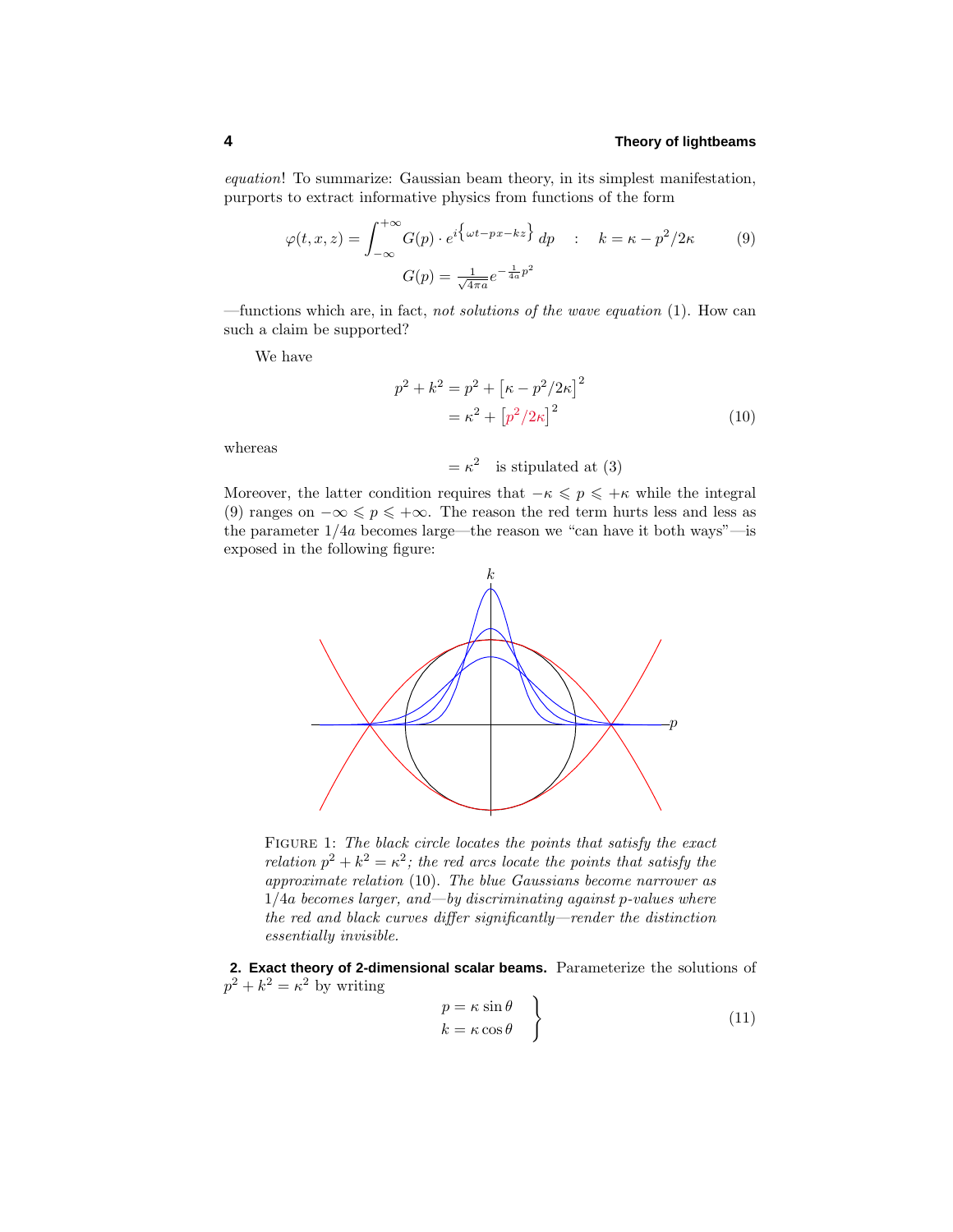equation! To summarize: Gaussian beam theory, in its simplest manifestation, purports to extract informative physics from functions of the form

$$
\varphi(t, x, z) = \int_{-\infty}^{+\infty} G(p) \cdot e^{i \left\{ \omega t - px - kz \right\}} dp \quad : \quad k = \kappa - p^2 / 2\kappa \tag{9}
$$

$$
G(p) = \frac{1}{\sqrt{4\pi a}} e^{-\frac{1}{4a}p^2}
$$

—functions which are, in fact, not solutions of the wave equation (1). How can such a claim be supported?

We have

$$
p^{2} + k^{2} = p^{2} + [\kappa - p^{2}/2\kappa]^{2}
$$
  
=  $\kappa^{2} + [p^{2}/2\kappa]^{2}$  (10)

whereas

 $= \kappa^2$  is stipulated at (3)

Moreover, the latter condition requires that  $-\kappa \leqslant p \leqslant +\kappa$  while the integral (9) ranges on  $-\infty \leq p \leq +\infty$ . The reason the red term hurts less and less as the parameter 1*/*4*a* becomes large—the reason we "can have it both ways"—is exposed in the following figure:



FIGURE 1: The black circle locates the points that satisfy the exact relation  $p^2 + k^2 = \kappa^2$ ; the red arcs locate the points that satisfy the approximate relation (10). The blue Gaussians become narrower as 1*/*4*a* becomes larger, and—by discriminating against *p*-values where the red and black curves differ significantly—render the distinction essentially invisible.

**2. Exact theory of 2-dimensional scalar beams.** Parameterize the solutions of  $p^2 + k^2 = \kappa^2$  by writing

$$
p = \kappa \sin \theta \nk = \kappa \cos \theta
$$
\n(11)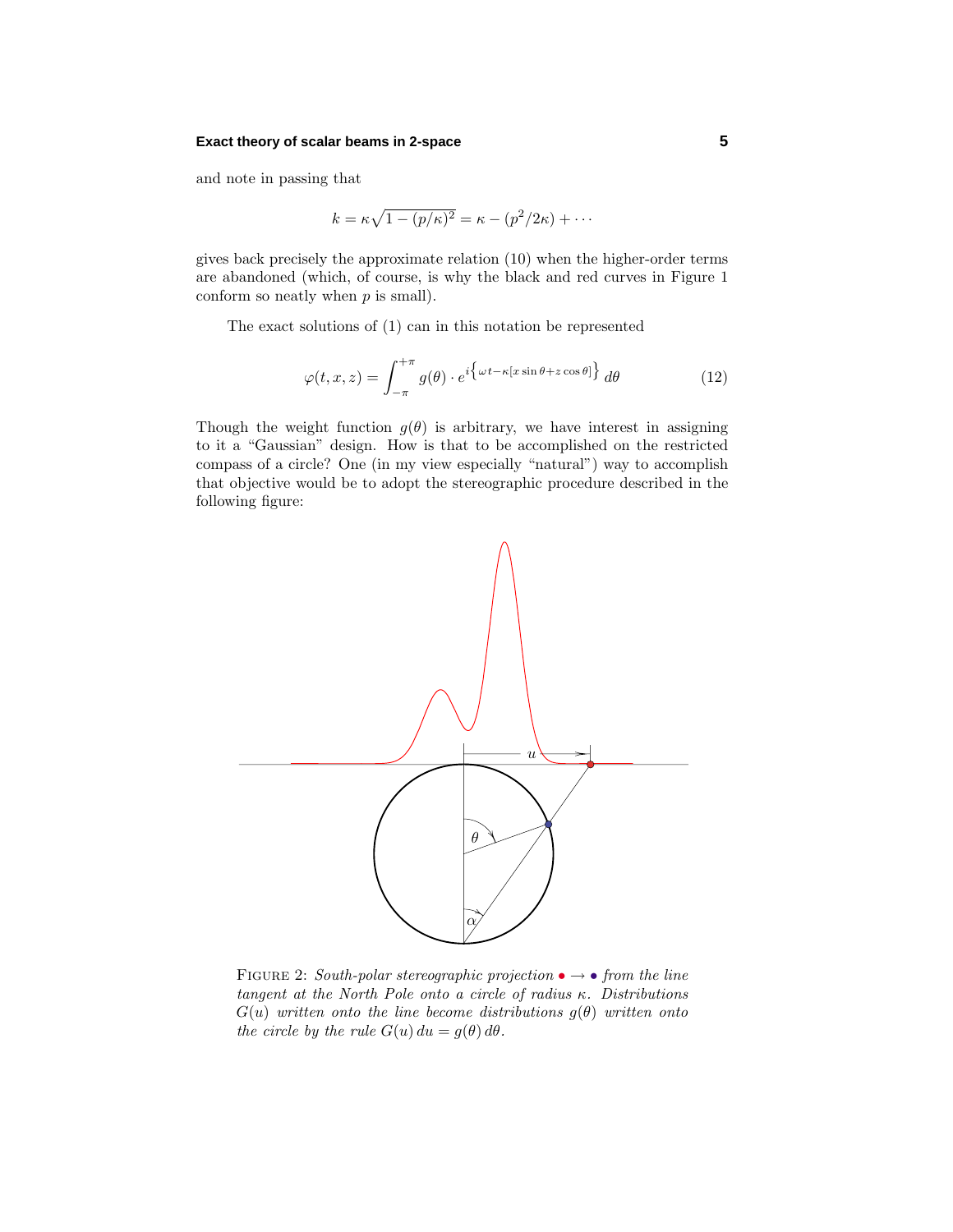#### **Exact theory of scalar beams in 2-space 5**

and note in passing that

$$
k = \kappa \sqrt{1 - (p/\kappa)^2} = \kappa - (p^2/2\kappa) + \cdots
$$

gives back precisely the approximate relation (10) when the higher-order terms are abandoned (which, of course, is why the black and red curves in Figure 1 conform so neatly when *p* is small).

The exact solutions of (1) can in this notation be represented

$$
\varphi(t,x,z) = \int_{-\pi}^{+\pi} g(\theta) \cdot e^{i \left\{ \omega t - \kappa [x \sin \theta + z \cos \theta] \right\}} d\theta \tag{12}
$$

Though the weight function  $g(\theta)$  is arbitrary, we have interest in assigning to it a "Gaussian" design. How is that to be accomplished on the restricted compass of a circle? One (in my view especially "natural") way to accomplish that objective would be to adopt the stereographic procedure described in the following figure:



FIGURE 2: South-polar stereographic projection  $\bullet \rightarrow \bullet$  from the line tangent at the North Pole onto a circle of radius *κ*. Distributions  $G(u)$  written onto the line become distributions  $g(\theta)$  written onto the circle by the rule  $G(u) du = g(\theta) d\theta$ .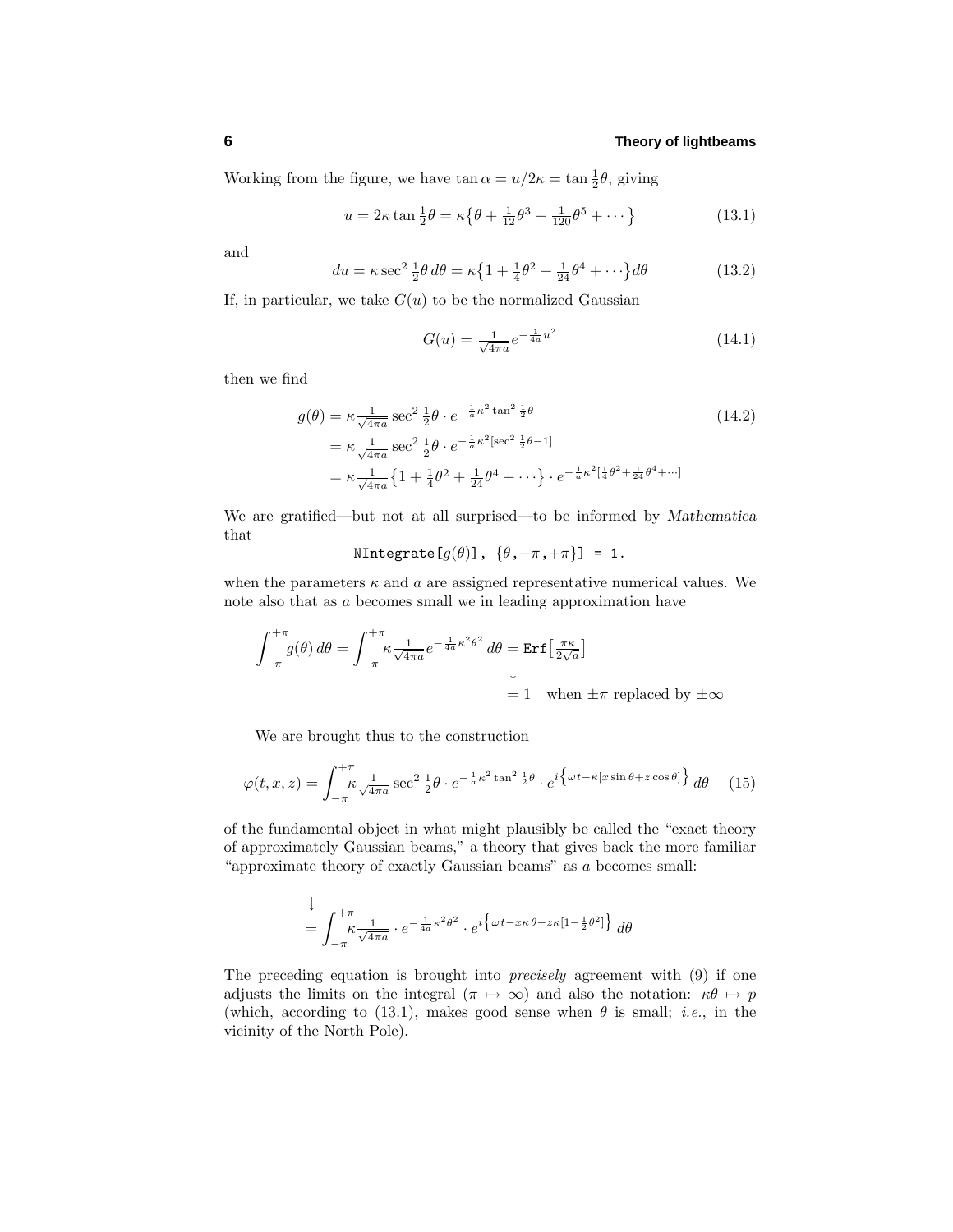Working from the figure, we have  $\tan \alpha = u/2\kappa = \tan \frac{1}{2}\theta$ , giving

$$
u = 2\kappa \tan \frac{1}{2}\theta = \kappa \left\{\theta + \frac{1}{12}\theta^3 + \frac{1}{120}\theta^5 + \dots \right\}
$$
 (13.1)

and

$$
du = \kappa \sec^2 \frac{1}{2}\theta \, d\theta = \kappa \left\{ 1 + \frac{1}{4}\theta^2 + \frac{1}{24}\theta^4 + \cdots \right\} d\theta \tag{13.2}
$$

If, in particular, we take  $G(u)$  to be the normalized Gaussian

$$
G(u) = \frac{1}{\sqrt{4\pi a}} e^{-\frac{1}{4a}u^2}
$$
\n(14.1)

then we find

$$
g(\theta) = \kappa \frac{1}{\sqrt{4\pi a}} \sec^2 \frac{1}{2} \theta \cdot e^{-\frac{1}{a}\kappa^2 \tan^2 \frac{1}{2}\theta}
$$
 (14.2)  
\n
$$
= \kappa \frac{1}{\sqrt{4\pi a}} \sec^2 \frac{1}{2} \theta \cdot e^{-\frac{1}{a}\kappa^2 [\sec^2 \frac{1}{2}\theta - 1]}
$$
  
\n
$$
= \kappa \frac{1}{\sqrt{4\pi a}} \left\{ 1 + \frac{1}{4} \theta^2 + \frac{1}{24} \theta^4 + \cdots \right\} \cdot e^{-\frac{1}{a}\kappa^2 \left[ \frac{1}{4} \theta^2 + \frac{1}{24} \theta^4 + \cdots \right]}
$$

We are gratified—but not at all surprised—to be informed by *Mathematica* that

$$
\mathtt{NIntegrate}[g(\theta)], \ \{\theta, -\pi, +\pi\}] = 1.
$$

when the parameters  $\kappa$  and  $\alpha$  are assigned representative numerical values. We note also that as *a* becomes small we in leading approximation have

$$
\int_{-\pi}^{+\pi} g(\theta) d\theta = \int_{-\pi}^{+\pi} \kappa \frac{1}{\sqrt{4\pi a}} e^{-\frac{1}{4a}\kappa^2 \theta^2} d\theta = \text{Erf} \left[\frac{\pi \kappa}{2\sqrt{a}}\right]
$$
  
= 1 when  $\pm \pi$  replaced by  $\pm \infty$ 

We are brought thus to the construction

$$
\varphi(t,x,z) = \int_{-\pi}^{+\pi} \frac{1}{\sqrt{4\pi a}} \sec^2 \frac{1}{2} \theta \cdot e^{-\frac{1}{a}\kappa^2 \tan^2 \frac{1}{2}\theta} \cdot e^{i \left\{ \omega t - \kappa [x \sin \theta + z \cos \theta] \right\}} d\theta \quad (15)
$$

of the fundamental object in what might plausibly be called the "exact theory of approximately Gaussian beams," a theory that gives back the more familiar "approximate theory of exactly Gaussian beams" as *a* becomes small:

$$
\downarrow
$$
\n
$$
= \int_{-\pi}^{+\pi} \kappa \frac{1}{\sqrt{4\pi a}} \cdot e^{-\frac{1}{4a}\kappa^2 \theta^2} \cdot e^{i \left\{ \omega t - x\kappa \theta - z\kappa [1 - \frac{1}{2}\theta^2] \right\}} d\theta
$$

The preceding equation is brought into precisely agreement with (9) if one adjusts the limits on the integral  $(\pi \mapsto \infty)$  and also the notation:  $\kappa \theta \mapsto p$ (which, according to (13.1), makes good sense when  $\theta$  is small; *i.e.*, in the vicinity of the North Pole).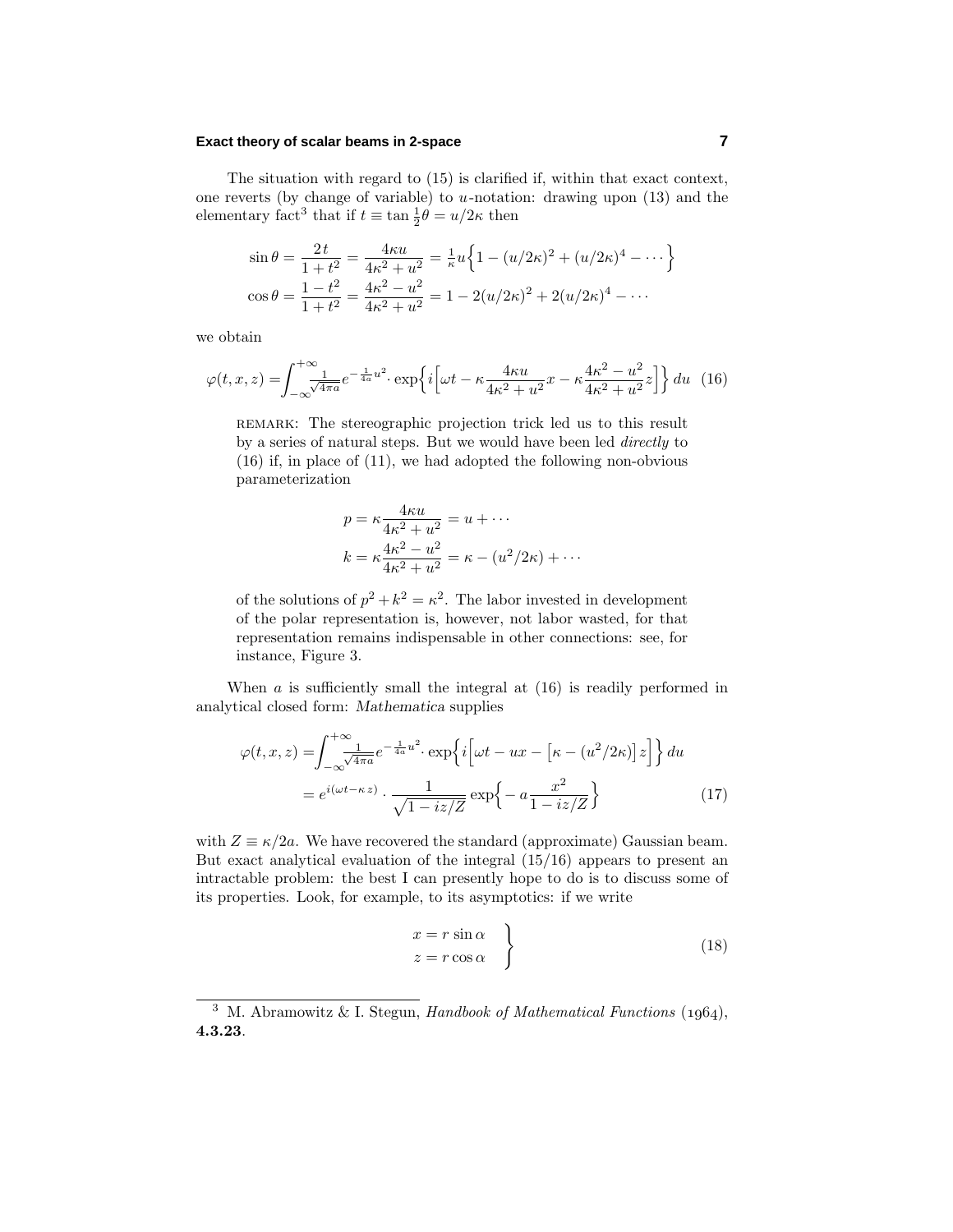#### **Exact theory of scalar beams in 2-space 7**

The situation with regard to (15) is clarified if, within that exact context, one reverts (by change of variable) to *u*-notation: drawing upon (13) and the elementary fact<sup>3</sup> that if  $t \equiv \tan \frac{1}{2}\theta = u/2\kappa$  then

$$
\sin \theta = \frac{2t}{1+t^2} = \frac{4\kappa u}{4\kappa^2 + u^2} = \frac{1}{\kappa} u \left\{ 1 - (u/2\kappa)^2 + (u/2\kappa)^4 - \dots \right\}
$$

$$
\cos \theta = \frac{1-t^2}{1+t^2} = \frac{4\kappa^2 - u^2}{4\kappa^2 + u^2} = 1 - 2(u/2\kappa)^2 + 2(u/2\kappa)^4 - \dots
$$

we obtain

$$
\varphi(t,x,z) = \int_{-\infty}^{+\infty} \frac{1}{\sqrt{4\pi a}} e^{-\frac{1}{4a}u^2} \cdot \exp\left\{i\left[\omega t - \kappa \frac{4\kappa u}{4\kappa^2 + u^2}x - \kappa \frac{4\kappa^2 - u^2}{4\kappa^2 + u^2}z\right]\right\} du \tag{16}
$$

remark: The stereographic projection trick led us to this result by a series of natural steps. But we would have been led directly to (16) if, in place of (11), we had adopted the following non-obvious parameterization

$$
p = \kappa \frac{4\kappa u}{4\kappa^2 + u^2} = u + \cdots
$$

$$
k = \kappa \frac{4\kappa^2 - u^2}{4\kappa^2 + u^2} = \kappa - (u^2/2\kappa) + \cdots
$$

of the solutions of  $p^2 + k^2 = \kappa^2$ . The labor invested in development of the polar representation is, however, not labor wasted, for that representation remains indispensable in other connections: see, for instance, Figure 3.

When  $a$  is sufficiently small the integral at  $(16)$  is readily performed in analytical closed form: *Mathematica* supplies

$$
\varphi(t,x,z) = \int_{-\infty}^{+\infty} \frac{1}{\sqrt{4\pi a}} e^{-\frac{1}{4a}u^2} \cdot \exp\left\{i\left[\omega t - ux - \left[\kappa - (u^2/2\kappa)\right]z\right]\right\} du
$$

$$
= e^{i(\omega t - \kappa z)} \cdot \frac{1}{\sqrt{1 - iz/Z}} \exp\left\{-a\frac{x^2}{1 - iz/Z}\right\} \tag{17}
$$

with  $Z \equiv \kappa/2a$ . We have recovered the standard (approximate) Gaussian beam. But exact analytical evaluation of the integral (15/16) appears to present an intractable problem: the best I can presently hope to do is to discuss some of its properties. Look, for example, to its asymptotics: if we write

$$
\begin{aligned}\nx &= r \sin \alpha \\
z &= r \cos \alpha\n\end{aligned} \tag{18}
$$

<sup>&</sup>lt;sup>3</sup> M. Abramowitz & I. Stegun, *Handbook of Mathematical Functions* (1964), **4.3.23**.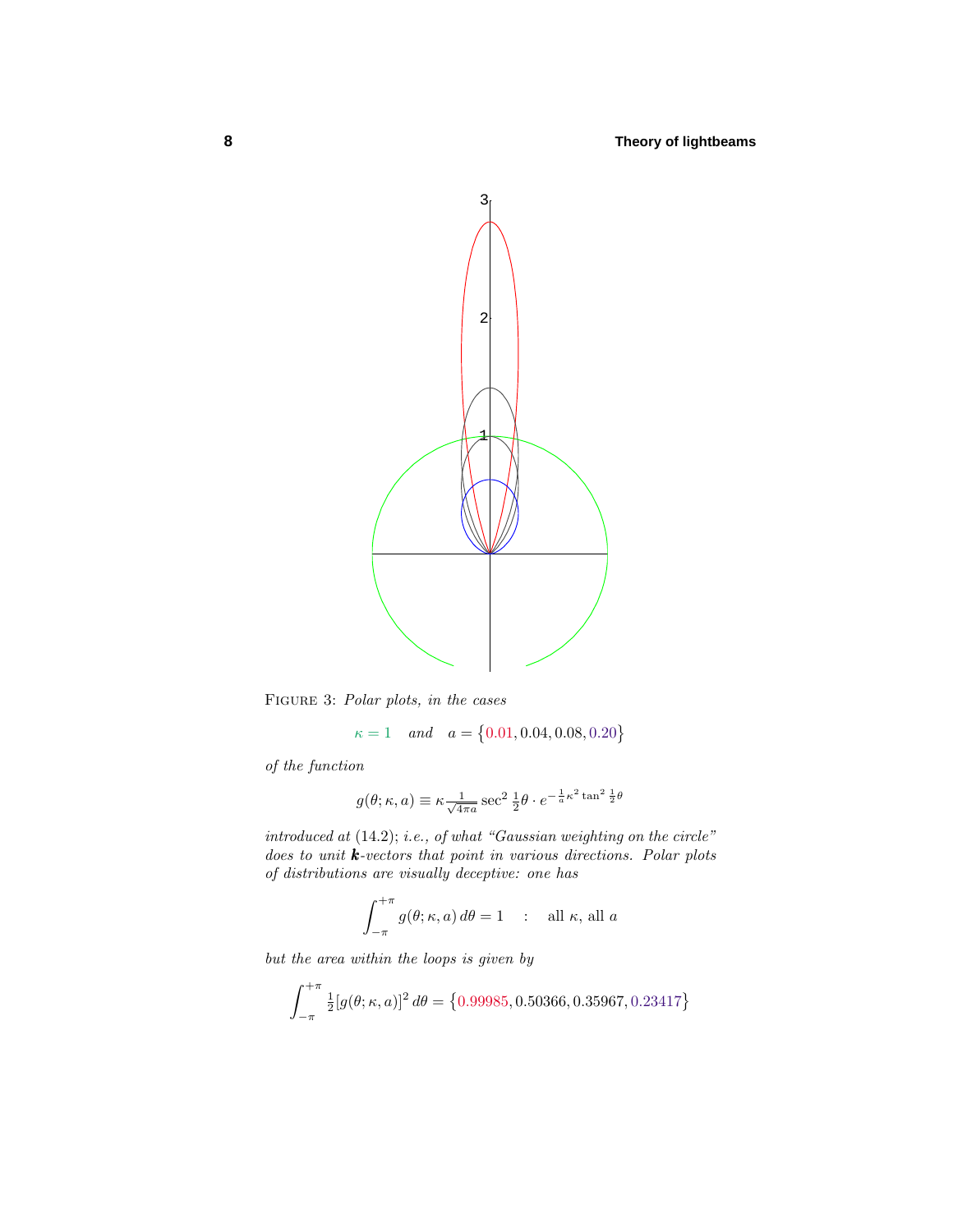

Figure 3: Polar plots, in the cases

$$
\kappa = 1
$$
 and  $a = \{0.01, 0.04, 0.08, 0.20\}$ 

of the function

$$
g(\theta; \kappa, a) \equiv \kappa \frac{1}{\sqrt{4\pi a}} \sec^2 \frac{1}{2} \theta \cdot e^{-\frac{1}{a} \kappa^2 \tan^2 \frac{1}{2} \theta}
$$

introduced at  $(14.2)$ ; i.e., of what "Gaussian weighting on the circle" does to unit *k*-vectors that point in various directions. Polar plots of distributions are visually deceptive: one has

$$
\int_{-\pi}^{+\pi} g(\theta; \kappa, a) d\theta = 1 \quad : \quad \text{all } \kappa, \text{ all } a
$$

but the area within the loops is given by

$$
\int_{-\pi}^{+\pi} \frac{1}{2} [g(\theta; \kappa, a)]^2 d\theta = \{0.99985, 0.50366, 0.35967, 0.23417\}
$$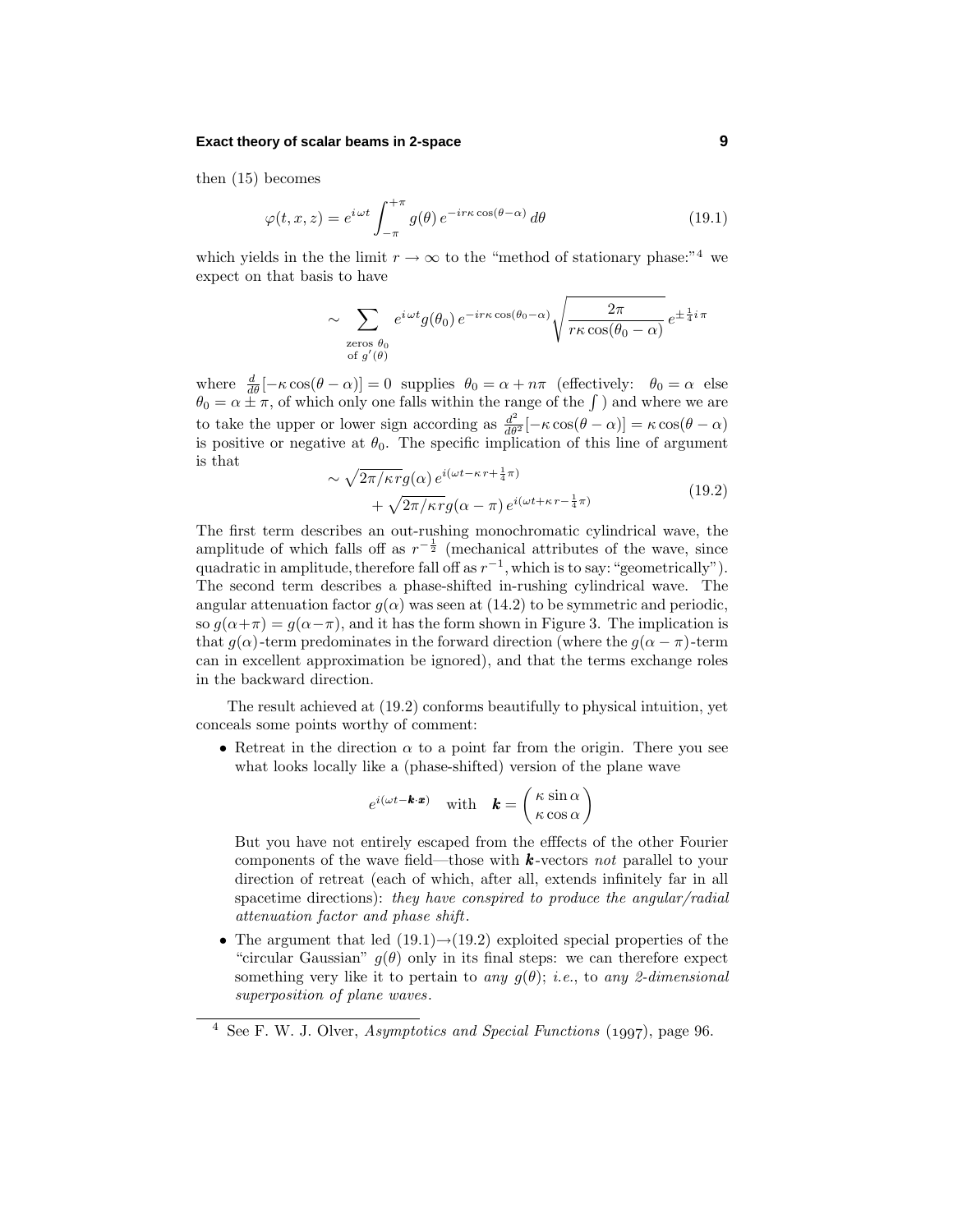#### **Exact theory of scalar beams in 2-space 9**

then (15) becomes

$$
\varphi(t, x, z) = e^{i\omega t} \int_{-\pi}^{+\pi} g(\theta) e^{-i r \kappa \cos(\theta - \alpha)} d\theta \qquad (19.1)
$$

which yields in the the limit  $r \to \infty$  to the "method of stationary phase:"<sup>4</sup> we expect on that basis to have

$$
\sim \sum_{\substack{\text{zeros } \theta_0 \\ \text{of } g'(\theta)}} e^{i \omega t} g(\theta_0) e^{-i r \kappa \cos(\theta_0 - \alpha)} \sqrt{\frac{2\pi}{r \kappa \cos(\theta_0 - \alpha)}} e^{\pm \frac{1}{4} i \pi}
$$

where  $\frac{d}{d\theta}[-\kappa \cos(\theta - \alpha)] = 0$  supplies  $\theta_0 = \alpha + n\pi$  (effectively:  $\theta_0 = \alpha$  else  $\theta_0 = \alpha \pm \pi$ , of which only one falls within the range of the  $\int$ ) and where we are to take the upper or lower sign according as  $\frac{d^2}{d\theta^2}[-\kappa \cos(\theta - \alpha)] = \kappa \cos(\theta - \alpha)$ is positive or negative at  $\theta_0$ . The specific implication of this line of argument is that

$$
\sim \sqrt{2\pi/\kappa r} g(\alpha) e^{i(\omega t - \kappa r + \frac{1}{4}\pi)} + \sqrt{2\pi/\kappa r} g(\alpha - \pi) e^{i(\omega t + \kappa r - \frac{1}{4}\pi)}
$$
(19.2)

The first term describes an out-rushing monochromatic cylindrical wave, the amplitude of which falls off as  $r^{-\frac{1}{2}}$  (mechanical attributes of the wave, since quadratic in amplitude, therefore fall off as  $r^{-1}$ , which is to say: "geometrically"). The second term describes a phase-shifted in-rushing cylindrical wave. The angular attenuation factor  $g(\alpha)$  was seen at (14.2) to be symmetric and periodic, so  $q(\alpha+\pi) = q(\alpha-\pi)$ , and it has the form shown in Figure 3. The implication is that  $g(\alpha)$ -term predominates in the forward direction (where the  $g(\alpha - \pi)$ -term can in excellent approximation be ignored), and that the terms exchange roles in the backward direction.

The result achieved at (19.2) conforms beautifully to physical intuition, yet conceals some points worthy of comment:

• Retreat in the direction  $\alpha$  to a point far from the origin. There you see what looks locally like a (phase-shifted) version of the plane wave

$$
e^{i(\omega t - \mathbf{k} \cdot \mathbf{x})} \quad \text{with} \quad \mathbf{k} = \begin{pmatrix} \kappa \sin \alpha \\ \kappa \cos \alpha \end{pmatrix}
$$

But you have not entirely escaped from the efffects of the other Fourier components of the wave field—those with *k* -vectors not parallel to your direction of retreat (each of which, after all, extends infinitely far in all spacetime directions): they have conspired to produce the angular/radial attenuation factor and phase shift.

• The argument that led  $(19.1) \rightarrow (19.2)$  exploited special properties of the "circular Gaussian"  $g(\theta)$  only in its final steps: we can therefore expect something very like it to pertain to any  $g(\theta)$ ; *i.e.*, to any 2-dimensional superposition of plane waves.

 $4$  See F. W. J. Olver, *Asymptotics and Special Functions* (1997), page 96.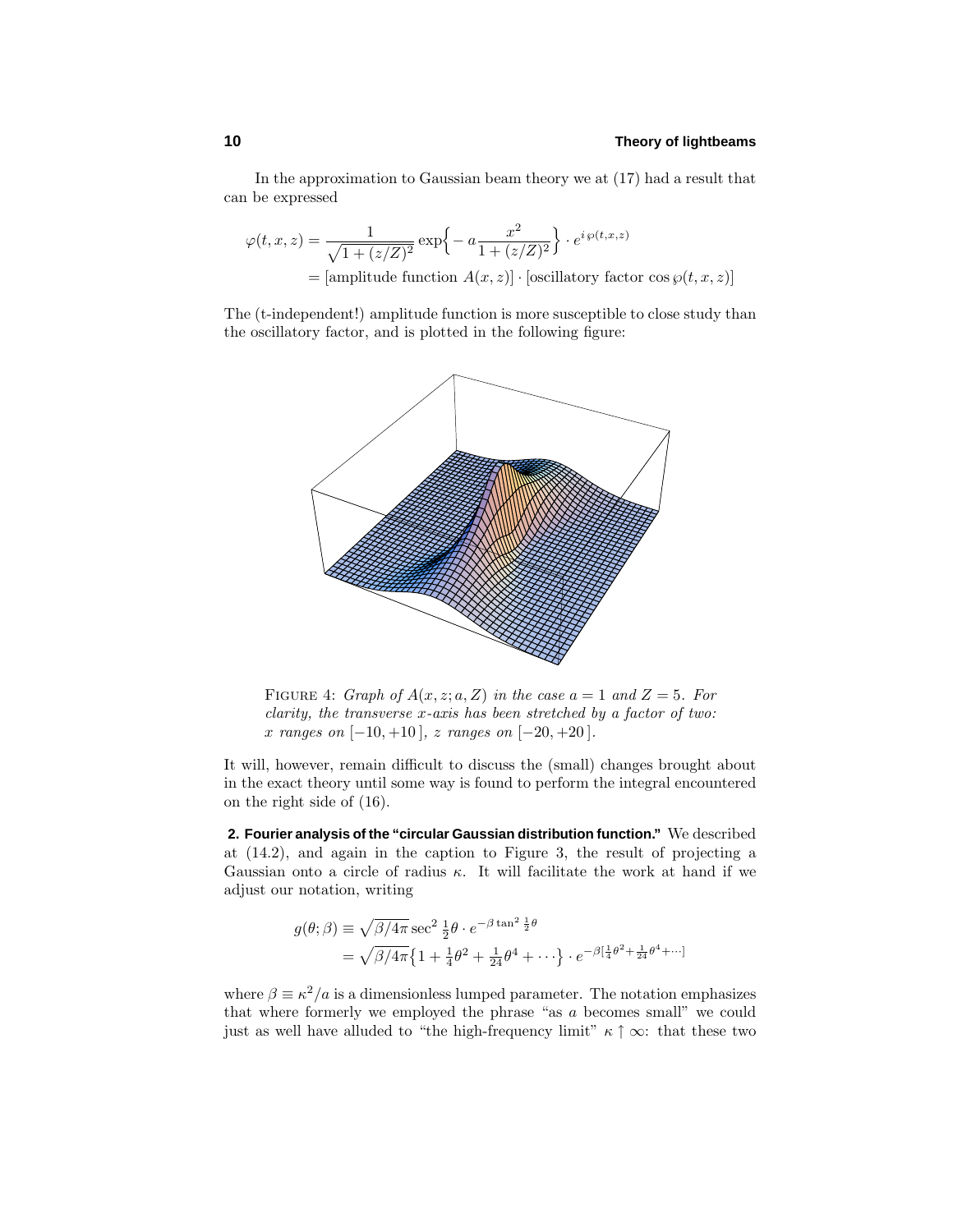In the approximation to Gaussian beam theory we at (17) had a result that can be expressed

$$
\varphi(t, x, z) = \frac{1}{\sqrt{1 + (z/Z)^2}} \exp\left\{-a\frac{x^2}{1 + (z/Z)^2}\right\} \cdot e^{i\,\varphi(t, x, z)}
$$

$$
= \text{[amplitude function } A(x, z)] \cdot \text{[oscillatory factor cos }\varphi(t, x, z)]
$$

The (t-independent!) amplitude function is more susceptible to close study than the oscillatory factor, and is plotted in the following figure:



FIGURE 4: Graph of  $A(x, z; a, Z)$  in the case  $a = 1$  and  $Z = 5$ . For clarity, the transverse *x*-axis has been stretched by a factor of two: *x* ranges on [−10*,* +10 ], *z* ranges on [−20*,* +20 ].

It will, however, remain difficult to discuss the (small) changes brought about in the exact theory until some way is found to perform the integral encountered on the right side of (16).

**2. Fourier analysis of the "circular Gaussian distribution function."** We described at (14.2), and again in the caption to Figure 3, the result of projecting a Gaussian onto a circle of radius *κ*. It will facilitate the work at hand if we adjust our notation, writing

$$
g(\theta; \beta) \equiv \sqrt{\beta/4\pi} \sec^2 \frac{1}{2} \theta \cdot e^{-\beta \tan^2 \frac{1}{2} \theta}
$$
  
=  $\sqrt{\beta/4\pi} \left\{ 1 + \frac{1}{4} \theta^2 + \frac{1}{24} \theta^4 + \cdots \right\} \cdot e^{-\beta \left[ \frac{1}{4} \theta^2 + \frac{1}{24} \theta^4 + \cdots \right]}$ 

where  $\beta \equiv \kappa^2/a$  is a dimensionless lumped parameter. The notation emphasizes that where formerly we employed the phrase "as *a* becomes small" we could just as well have alluded to "the high-frequency limit"  $\kappa \uparrow \infty$ : that these two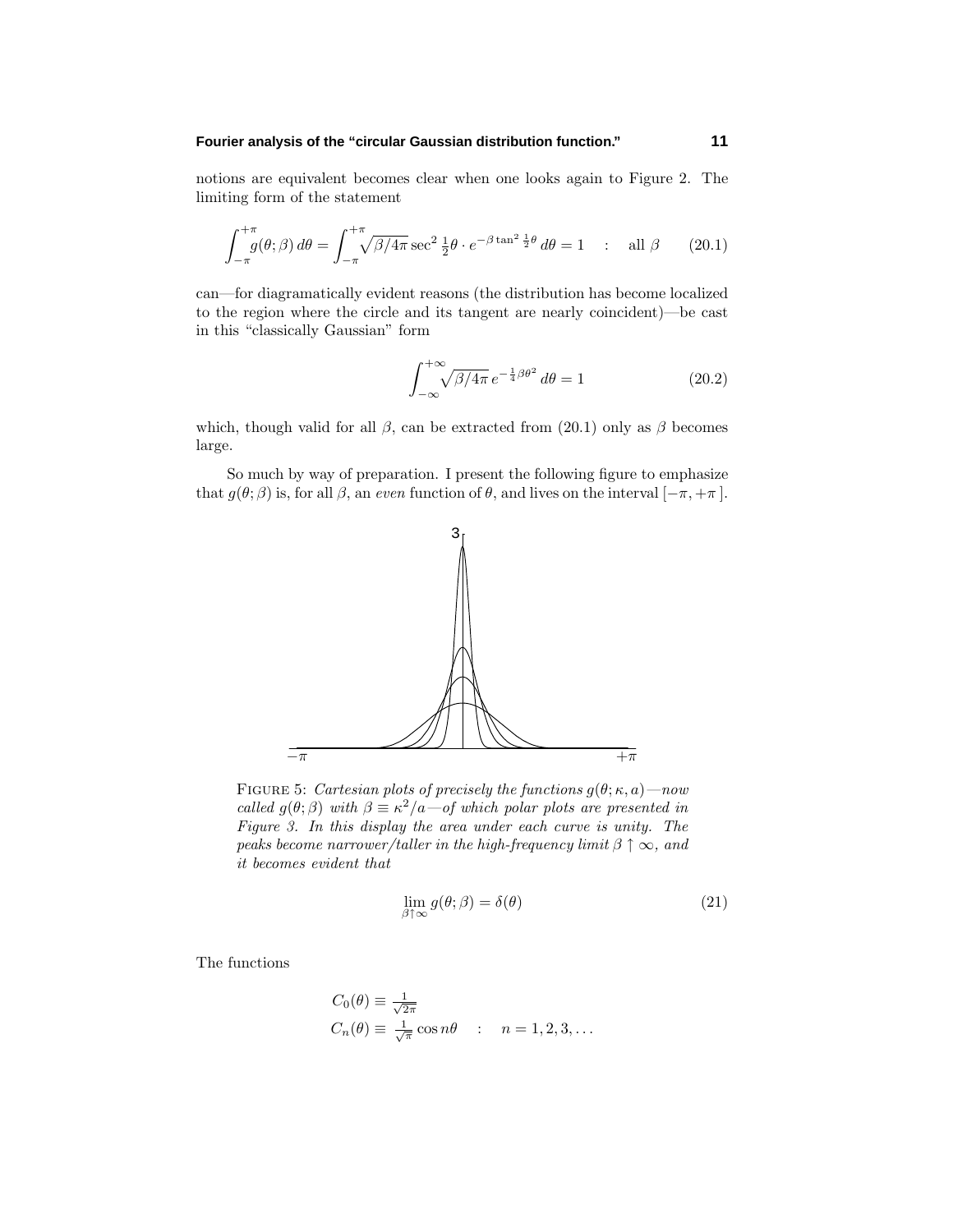#### **Fourier analysis of the "circular Gaussian distribution function." 11**

notions are equivalent becomes clear when one looks again to Figure 2. The limiting form of the statement

$$
\int_{-\pi}^{+\pi} g(\theta; \beta) d\theta = \int_{-\pi}^{+\pi} \sqrt{\beta/4\pi} \sec^2 \frac{1}{2} \theta \cdot e^{-\beta \tan^2 \frac{1}{2} \theta} d\theta = 1 \quad : \quad \text{all } \beta \tag{20.1}
$$

can—for diagramatically evident reasons (the distribution has become localized to the region where the circle and its tangent are nearly coincident)—be cast in this "classically Gaussian" form

$$
\int_{-\infty}^{+\infty} \sqrt{\beta/4\pi} e^{-\frac{1}{4}\beta\theta^2} d\theta = 1
$$
 (20.2)

which, though valid for all  $\beta$ , can be extracted from (20.1) only as  $\beta$  becomes large.

So much by way of preparation. I present the following figure to emphasize that  $g(\theta; \beta)$  is, for all  $\beta$ , an even function of  $\theta$ , and lives on the interval  $[-\pi, +\pi]$ .



FIGURE 5: Cartesian plots of precisely the functions  $g(\theta; \kappa, a)$ —now called  $g(\theta; \beta)$  with  $\beta \equiv \kappa^2/a$  – of which polar plots are presented in Figure 3. In this display the area under each curve is unity. The peaks become narrower/taller in the high-frequency limit  $\beta \uparrow \infty$ , and it becomes evident that

$$
\lim_{\beta \uparrow \infty} g(\theta; \beta) = \delta(\theta) \tag{21}
$$

The functions

$$
C_0(\theta) \equiv \frac{1}{\sqrt{2\pi}}
$$
  
\n
$$
C_n(\theta) \equiv \frac{1}{\sqrt{\pi}} \cos n\theta \quad : \quad n = 1, 2, 3, \dots
$$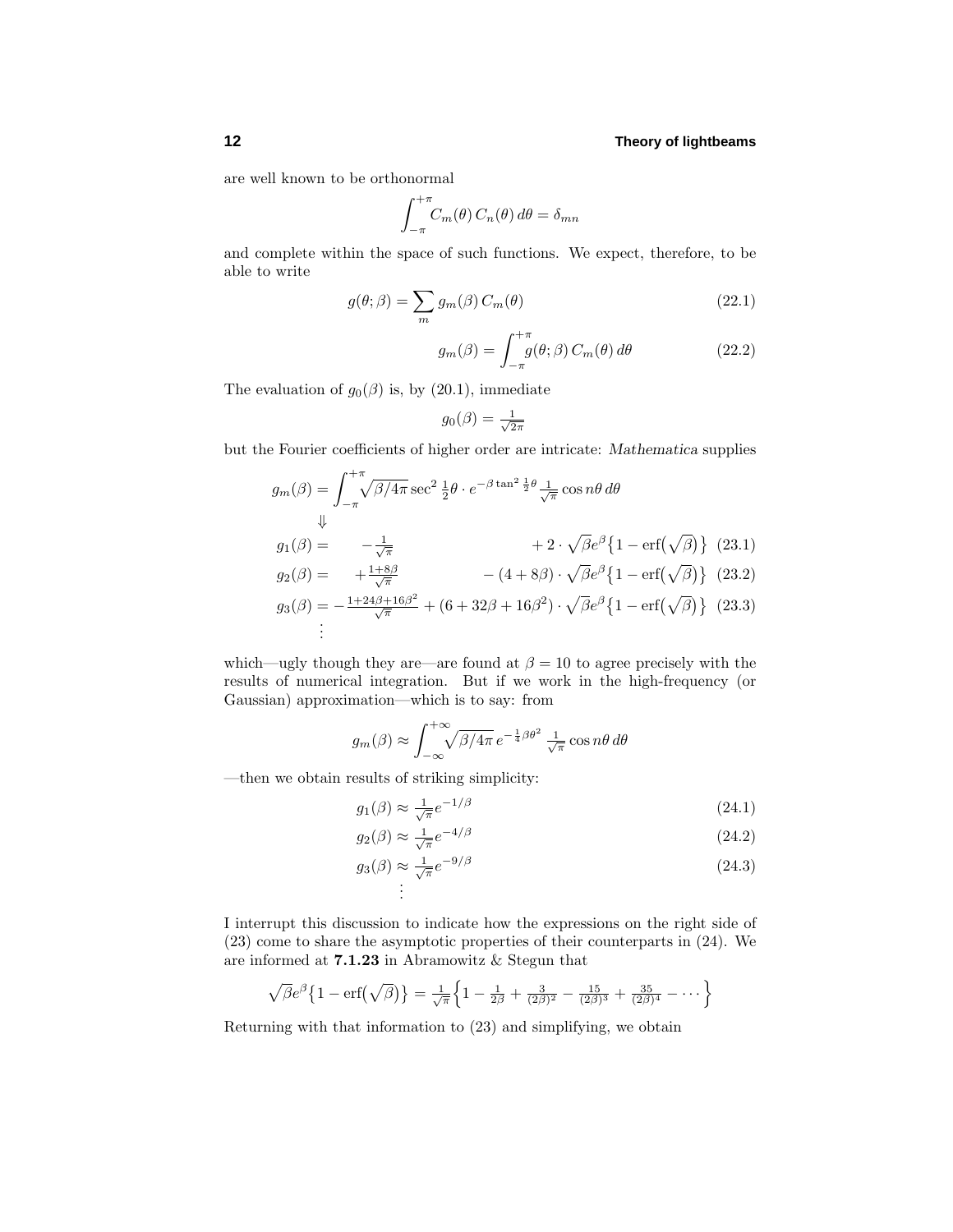are well known to be orthonormal

$$
\int_{-\pi}^{+\pi} C_m(\theta) C_n(\theta) d\theta = \delta_{mn}
$$

and complete within the space of such functions. We expect, therefore, to be able to write

$$
g(\theta; \beta) = \sum_{m} g_m(\beta) C_m(\theta)
$$
 (22.1)

$$
g_m(\beta) = \int_{-\pi}^{+\pi} g(\theta; \beta) C_m(\theta) d\theta \qquad (22.2)
$$

The evaluation of  $g_0(\beta)$  is, by (20.1), immediate

$$
g_0(\beta) = \frac{1}{\sqrt{2\pi}}
$$

but the Fourier coefficients of higher order are intricate: *Mathematica* supplies

$$
g_m(\beta) = \int_{-\pi}^{+\pi} \sqrt{\beta/4\pi} \sec^2 \frac{1}{2} \theta \cdot e^{-\beta \tan^2 \frac{1}{2} \theta} \frac{1}{\sqrt{\pi}} \cos n\theta \, d\theta
$$
  
\n
$$
\Downarrow
$$
  
\n
$$
g_1(\beta) = -\frac{1}{\sqrt{\pi}} \qquad + 2 \cdot \sqrt{\beta} e^{\beta} \left\{ 1 - \text{erf}(\sqrt{\beta}) \right\} \quad (23.1)
$$
  
\n
$$
g_2(\beta) = +\frac{1+8\beta}{\sqrt{\pi}} \qquad - (4+8\beta) \cdot \sqrt{\beta} e^{\beta} \left\{ 1 - \text{erf}(\sqrt{\beta}) \right\} \quad (23.2)
$$
  
\n
$$
g_3(\beta) = -\frac{1+24\beta+16\beta^2}{\sqrt{\pi}} + (6+32\beta+16\beta^2) \cdot \sqrt{\beta} e^{\beta} \left\{ 1 - \text{erf}(\sqrt{\beta}) \right\} \quad (23.3)
$$
  
\n
$$
\vdots
$$

which—ugly though they are—are found at  $\beta = 10$  to agree precisely with the results of numerical integration. But if we work in the high-frequency (or Gaussian) approximation—which is to say: from

$$
g_m(\beta) \approx \int_{-\infty}^{+\infty} \sqrt{\beta/4\pi} e^{-\frac{1}{4}\beta\theta^2} \frac{1}{\sqrt{\pi}} \cos n\theta d\theta
$$

—then we obtain results of striking simplicity:

$$
g_1(\beta) \approx \frac{1}{\sqrt{\pi}} e^{-1/\beta} \tag{24.1}
$$

$$
g_2(\beta) \approx \frac{1}{\sqrt{\pi}} e^{-4/\beta} \tag{24.2}
$$

$$
g_3(\beta) \approx \frac{1}{\sqrt{\pi}} e^{-9/\beta}
$$
\n
$$
\vdots
$$
\n(24.3)

I interrupt this discussion to indicate how the expressions on the right side of (23) come to share the asymptotic properties of their counterparts in (24). We are informed at **7.1.23** in Abramowitz & Stegun that

$$
\sqrt{\beta}e^{\beta}\left\{1-\text{erf}\left(\sqrt{\beta}\right)\right\}=\frac{1}{\sqrt{\pi}}\left\{1-\frac{1}{2\beta}+\frac{3}{(2\beta)^2}-\frac{15}{(2\beta)^3}+\frac{35}{(2\beta)^4}-\cdots\right\}
$$

Returning with that information to (23) and simplifying, we obtain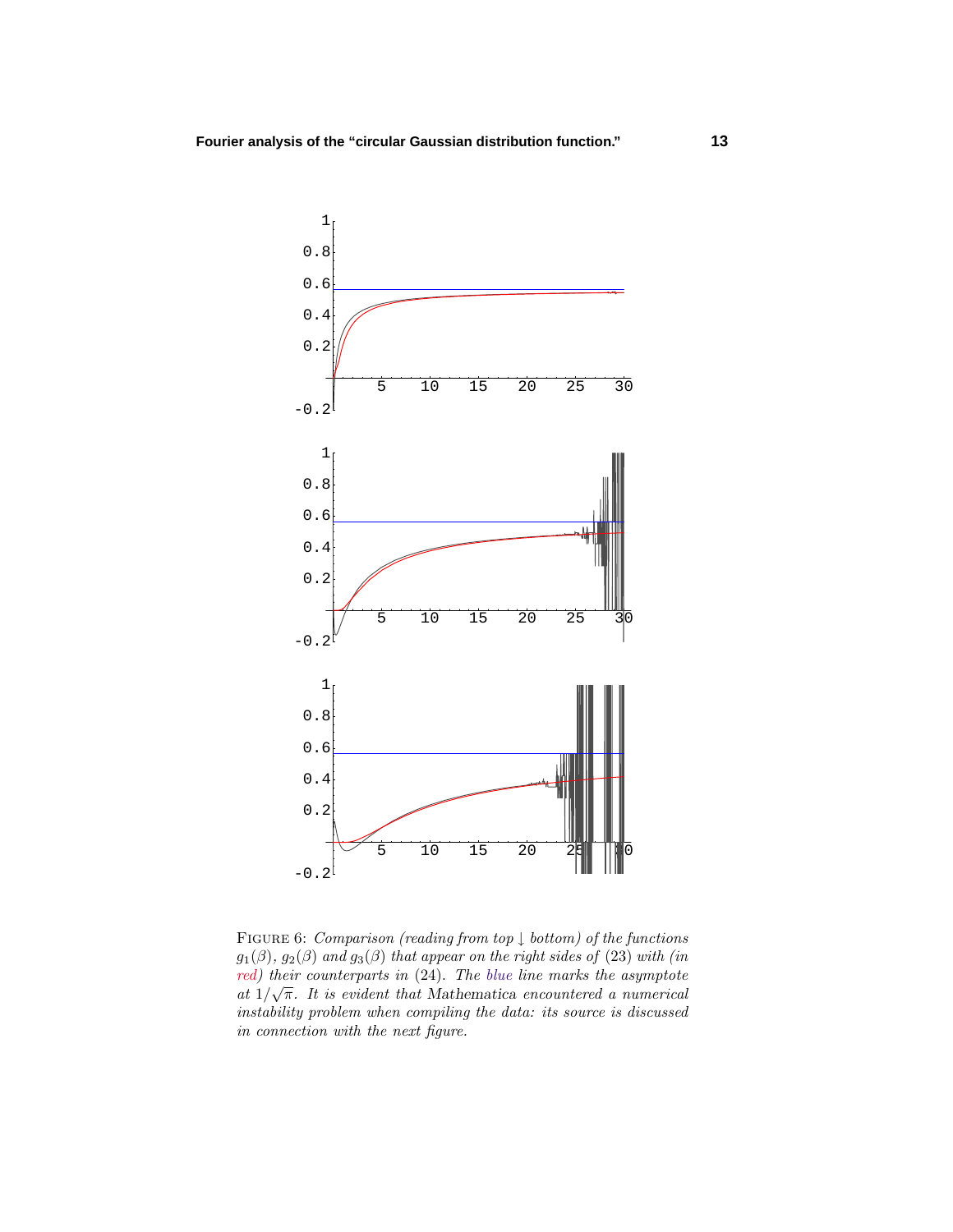

FIGURE 6: Comparison (reading from top  $\downarrow$  bottom) of the functions  $g_1(\beta)$ ,  $g_2(\beta)$  and  $g_3(\beta)$  that appear on the right sides of (23) with (in red) their counterparts in (24). The blue line marks the asymptote *at*  $1/\sqrt{\pi}$ *. It is evident that Mathematica encountered a numerical* instability problem when compiling the data: its source is discussed in connection with the next figure.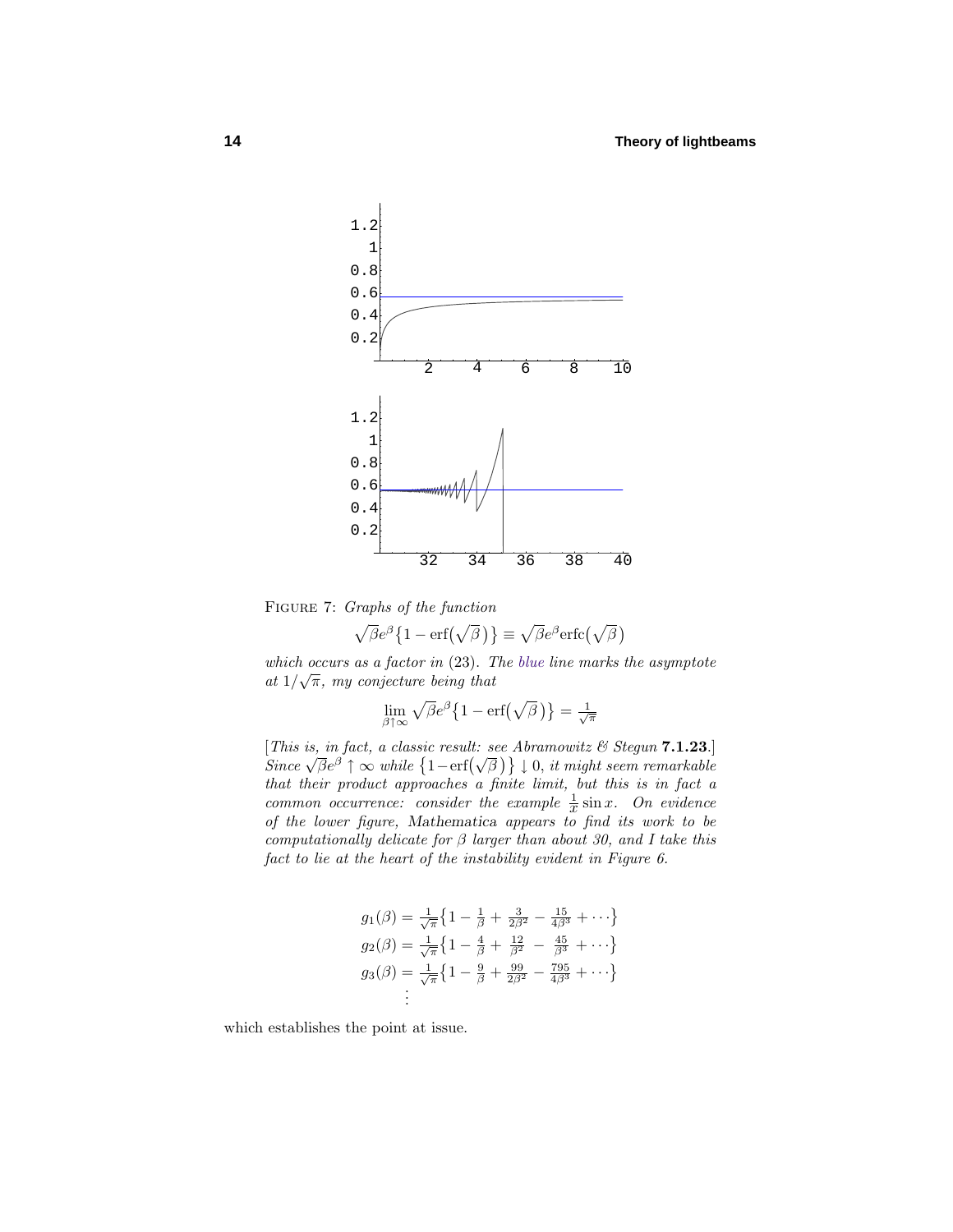

Figure 7: Graphs of the function

$$
\sqrt{\beta}e^{\beta}\left\{1-\mathrm{erf}\left(\sqrt{\beta}\right)\right\}\equiv\sqrt{\beta}e^{\beta}\mathrm{erfc}\left(\sqrt{\beta}\right)
$$

which occurs as a factor in (23). The blue line marks the asymptote at  $1/\sqrt{\pi}$ , my conjecture being that

$$
\lim_{\beta \uparrow \infty} \sqrt{\beta} e^{\beta} \left\{ 1 - \text{erf}\left(\sqrt{\beta}\right) \right\} = \frac{1}{\sqrt{\pi}}
$$

[This is, in fact, a classic result: see Abramowitz & Stegun **7.1.23**.]  $\left\{ \begin{array}{l} \text{This is, in fact, a classic result: see Aornmowitz } \in \text{Siegant (1.1.23)}\\ \text{Since } \sqrt{\beta}e^{\beta} \uparrow \infty \text{ while } \{1-\text{erf}(\sqrt{\beta})\} \downarrow 0, \text{ it might seem remarkable} \end{array} \right\}$ that their product approaches a finite limit, but this is in fact a common occurrence: consider the example  $\frac{1}{x} \sin x$ . On evidence of the lower figure, *Mathematica* appears to find its work to be computationally delicate for *β* larger than about 30, and I take this fact to lie at the heart of the instability evident in Figure 6.

$$
g_1(\beta) = \frac{1}{\sqrt{\pi}} \left\{ 1 - \frac{1}{\beta} + \frac{3}{2\beta^2} - \frac{15}{4\beta^3} + \cdots \right\}
$$
  
\n
$$
g_2(\beta) = \frac{1}{\sqrt{\pi}} \left\{ 1 - \frac{4}{\beta} + \frac{12}{\beta^2} - \frac{45}{\beta^3} + \cdots \right\}
$$
  
\n
$$
g_3(\beta) = \frac{1}{\sqrt{\pi}} \left\{ 1 - \frac{9}{\beta} + \frac{99}{2\beta^2} - \frac{795}{4\beta^3} + \cdots \right\}
$$
  
\n
$$
\vdots
$$

which establishes the point at issue.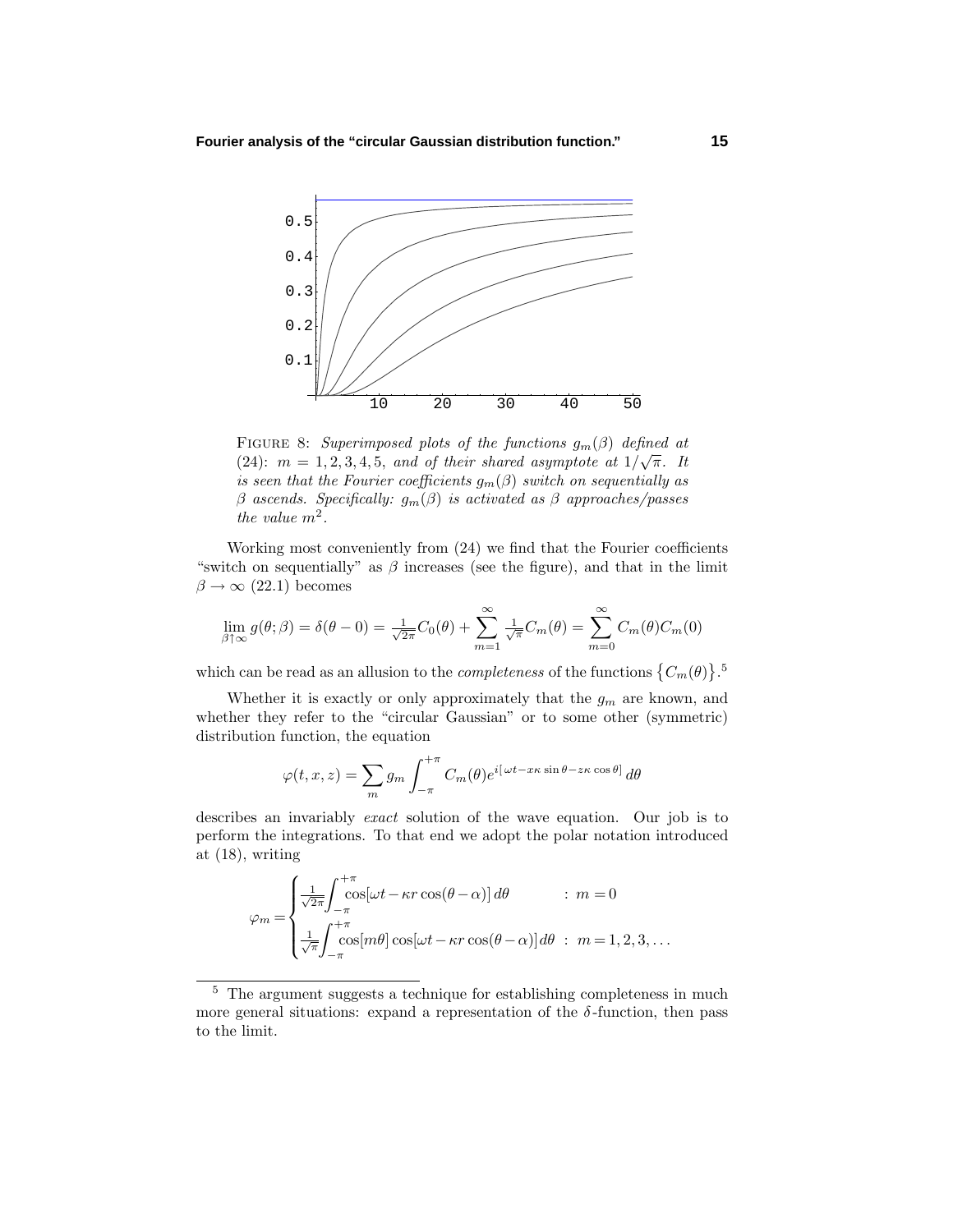

FIGURE 8: Superimposed plots of the functions  $g_m(\beta)$  defined at (24):  $m = 1, 2, 3, 4, 5$ , and of their shared asymptote at  $1/\sqrt{\pi}$ . It is seen that the Fourier coefficients  $g_m(\beta)$  switch on sequentially as *β* ascends. Specifically: *gm*(*β*) is activated as *β* approaches/passes the value *m*<sup>2</sup>.

Working most conveniently from (24) we find that the Fourier coefficients "switch on sequentially" as  $\beta$  increases (see the figure), and that in the limit  $\beta \rightarrow \infty$  (22.1) becomes

$$
\lim_{\beta \uparrow \infty} g(\theta; \beta) = \delta(\theta - 0) = \frac{1}{\sqrt{2\pi}} C_0(\theta) + \sum_{m=1}^{\infty} \frac{1}{\sqrt{\pi}} C_m(\theta) = \sum_{m=0}^{\infty} C_m(\theta) C_m(0)
$$

which can be read as an allusion to the *completeness* of the functions  ${C_m(\theta)}$ .<sup>5</sup>

Whether it is exactly or only approximately that the  $g_m$  are known, and whether they refer to the "circular Gaussian" or to some other (symmetric) distribution function, the equation

$$
\varphi(t,x,z) = \sum_{m} g_m \int_{-\pi}^{+\pi} C_m(\theta) e^{i[\omega t - x\kappa \sin \theta - z\kappa \cos \theta]} d\theta
$$

describes an invariably exact solution of the wave equation. Our job is to perform the integrations. To that end we adopt the polar notation introduced at (18), writing

$$
\varphi_m = \begin{cases}\n\frac{1}{\sqrt{2\pi}} \int_{-\pi}^{+\pi} \cos[\omega t - \kappa r \cos(\theta - \alpha)] \, d\theta & : m = 0 \\
\frac{1}{\sqrt{\pi}} \int_{-\pi}^{+\pi} \cos[m\theta] \cos[\omega t - \kappa r \cos(\theta - \alpha)] \, d\theta & : m = 1, 2, 3, \dots\n\end{cases}
$$

<sup>5</sup> The argument suggests a technique for establishing completeness in much more general situations: expand a representation of the  $\delta$ -function, then pass to the limit.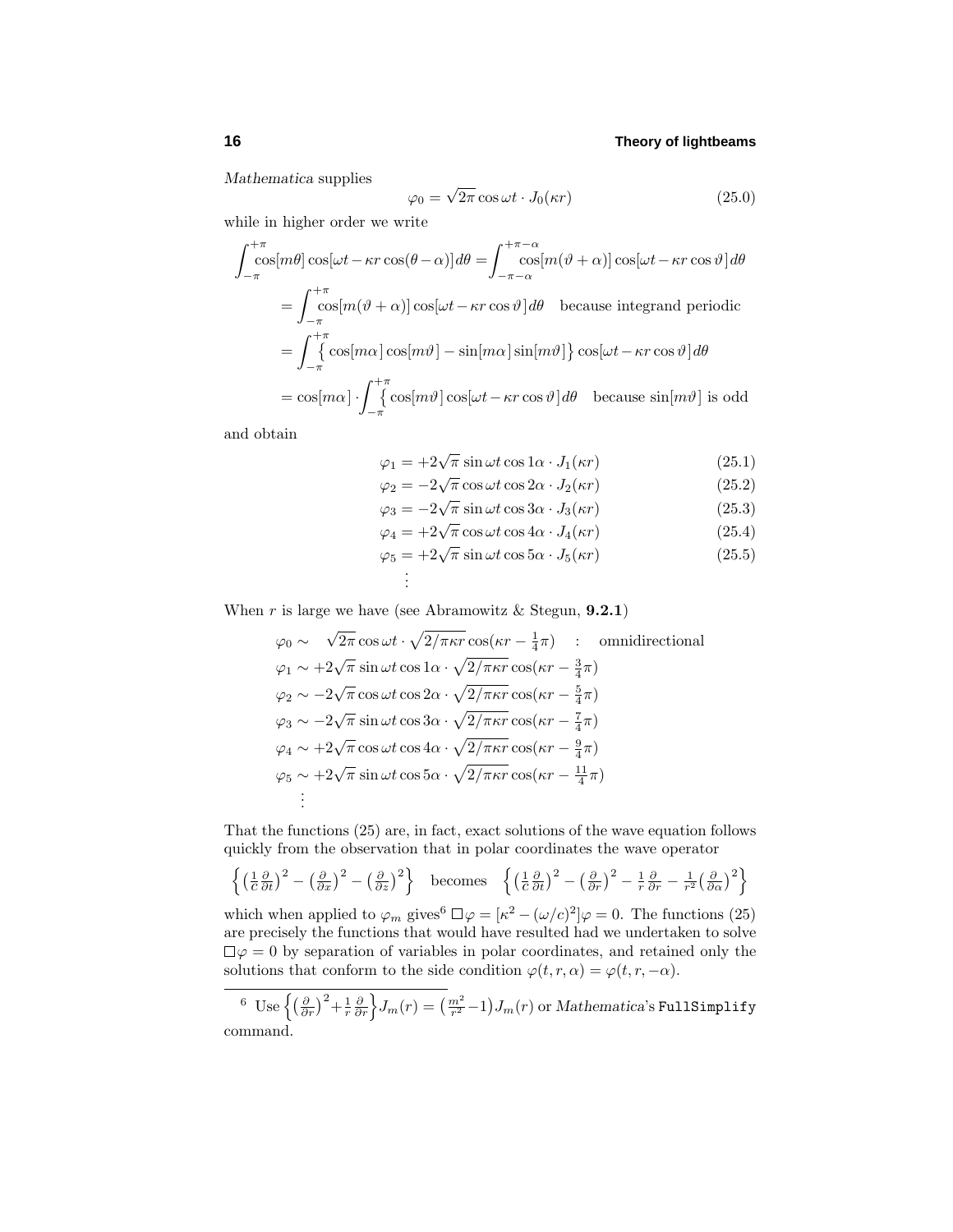*Mathematica* supplies

$$
\varphi_0 = \sqrt{2\pi} \cos \omega t \cdot J_0(\kappa r) \tag{25.0}
$$

while in higher order we write

$$
\int_{-\pi}^{+\pi} \cos[m\theta] \cos[\omega t - \kappa r \cos(\theta - \alpha)] d\theta = \int_{-\pi - \alpha}^{+\pi - \alpha} \cos[m(\vartheta + \alpha)] \cos[\omega t - \kappa r \cos \vartheta] d\theta
$$
  
\n
$$
= \int_{-\pi}^{+\pi} \cos[m(\vartheta + \alpha)] \cos[\omega t - \kappa r \cos \vartheta] d\theta \text{ because integrand periodic}
$$
  
\n
$$
= \int_{-\pi}^{+\pi} \cos[m\alpha] \cos[m\vartheta] - \sin[m\alpha] \sin[m\vartheta] \cos[\omega t - \kappa r \cos \vartheta] d\theta
$$
  
\n
$$
= \cos[m\alpha] \cdot \int_{-\pi}^{+\pi} \cos[m\vartheta] \cos[\omega t - \kappa r \cos \vartheta] d\theta \text{ because } \sin[m\vartheta] \text{ is odd}
$$

and obtain

$$
\varphi_1 = +2\sqrt{\pi}\sin\omega t \cos 1\alpha \cdot J_1(\kappa r) \tag{25.1}
$$

$$
\varphi_2 = -2\sqrt{\pi} \cos \omega t \cos 2\alpha \cdot J_2(\kappa r) \tag{25.2}
$$
\n
$$
\varphi_2 = -2\sqrt{\pi} \sin \omega t \cos 3\alpha \cdot J_2(\kappa r) \tag{25.3}
$$

$$
\varphi_3 = -2\sqrt{\pi} \sin \omega t \cos 3\alpha \cdot J_3(\kappa r) \tag{25.3}
$$
  

$$
\varphi_4 = +2\sqrt{\pi} \cos \omega t \cos 4\alpha \cdot J_4(\kappa r) \tag{25.4}
$$

$$
\varphi_4 = 12 \sqrt{\pi} \cos \omega \cos \alpha \cdot J_5(\kappa r) \tag{25.5}
$$
\n
$$
\varphi_5 = +2 \sqrt{\pi} \sin \omega t \cos 5\alpha \cdot J_5(\kappa r) \tag{25.5}
$$

$$
\varphi_5 = 12 \sqrt{\pi} \sin \omega t \cos \omega t \cdot J_5(\pi t) \tag{20.9}
$$
  
:

When  $r$  is large we have (see Abramowitz & Stegun, **9.2.1**)

.

$$
\varphi_0 \sim \sqrt{2\pi} \cos \omega t \cdot \sqrt{2/\pi \kappa r} \cos(\kappa r - \frac{1}{4}\pi) : \text{ omnidirectional}
$$
  
\n
$$
\varphi_1 \sim +2\sqrt{\pi} \sin \omega t \cos 1\alpha \cdot \sqrt{2/\pi \kappa r} \cos(\kappa r - \frac{3}{4}\pi)
$$
  
\n
$$
\varphi_2 \sim -2\sqrt{\pi} \cos \omega t \cos 2\alpha \cdot \sqrt{2/\pi \kappa r} \cos(\kappa r - \frac{5}{4}\pi)
$$
  
\n
$$
\varphi_3 \sim -2\sqrt{\pi} \sin \omega t \cos 3\alpha \cdot \sqrt{2/\pi \kappa r} \cos(\kappa r - \frac{7}{4}\pi)
$$
  
\n
$$
\varphi_4 \sim +2\sqrt{\pi} \cos \omega t \cos 4\alpha \cdot \sqrt{2/\pi \kappa r} \cos(\kappa r - \frac{9}{4}\pi)
$$
  
\n
$$
\varphi_5 \sim +2\sqrt{\pi} \sin \omega t \cos 5\alpha \cdot \sqrt{2/\pi \kappa r} \cos(\kappa r - \frac{11}{4}\pi)
$$
  
\n
$$
\vdots
$$

That the functions (25) are, in fact, exact solutions of the wave equation follows quickly from the observation that in polar coordinates the wave operator

$$
\left\{ \left( \frac{1}{c} \frac{\partial}{\partial t} \right)^2 - \left( \frac{\partial}{\partial x} \right)^2 - \left( \frac{\partial}{\partial z} \right)^2 \right\} \text{ becomes } \left\{ \left( \frac{1}{c} \frac{\partial}{\partial t} \right)^2 - \left( \frac{\partial}{\partial r} \right)^2 - \frac{1}{r} \frac{\partial}{\partial r} - \frac{1}{r^2} \left( \frac{\partial}{\partial \alpha} \right)^2 \right\}
$$

which when applied to  $\varphi_m$  gives<sup>6</sup>  $\Box \varphi = [\kappa^2 - (\omega/c)^2] \varphi = 0$ . The functions (25) are precisely the functions that would have resulted had we undertaken to solve  $\Box \varphi = 0$  by separation of variables in polar coordinates, and retained only the solutions that conform to the side condition  $\varphi(t, r, \alpha) = \varphi(t, r, -\alpha)$ .

 $\frac{1}{2}$  Use  $\left\{\left(\frac{\partial}{\partial r}\right)^2+\frac{1}{r}\frac{\partial}{\partial r}\right\}J_m(r)=\left(\frac{m^2}{r^2}-1\right)J_m(r)$  or Mathematica's FullSimplify command.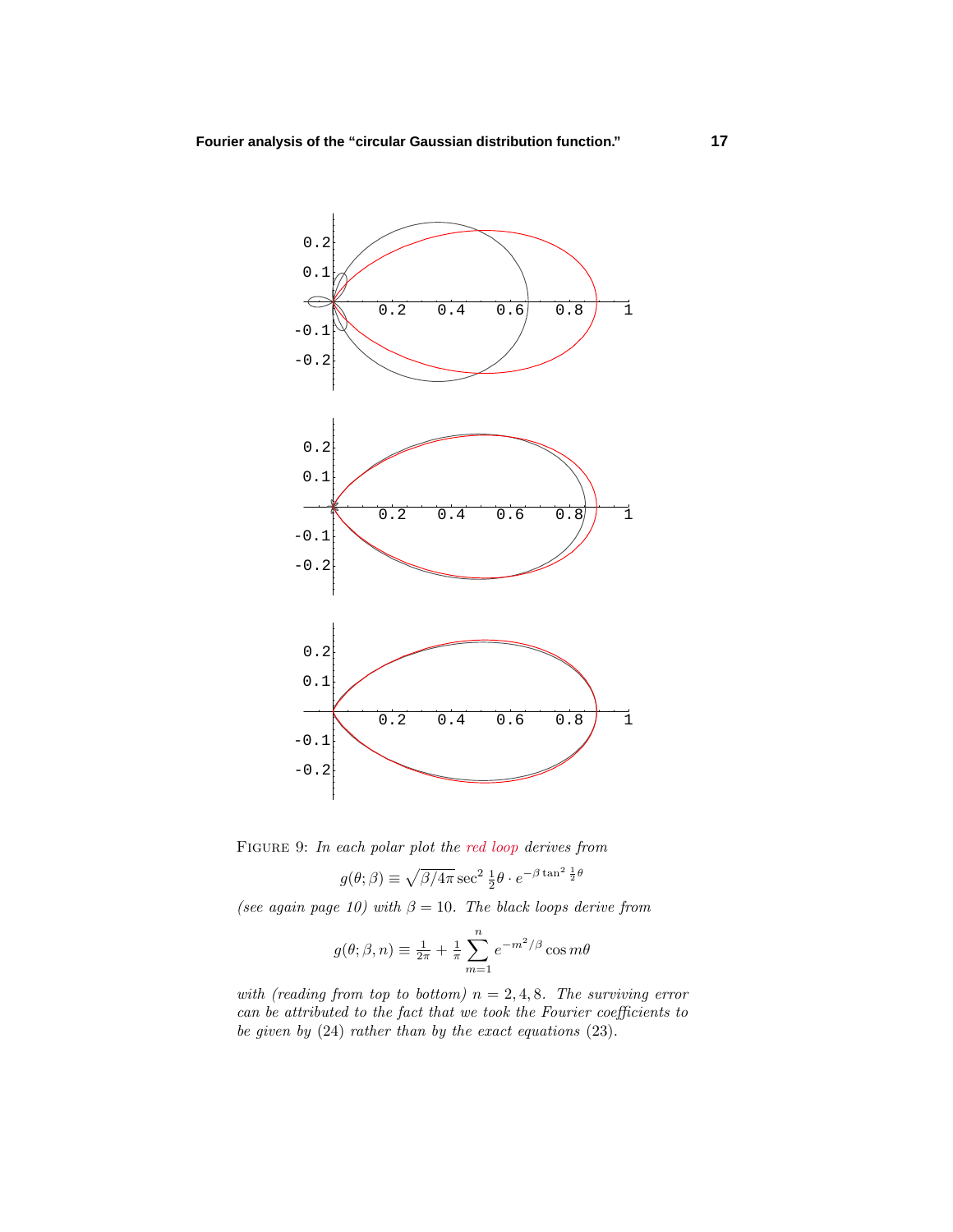

FIGURE 9: In each polar plot the red loop derives from

$$
g(\theta; \beta) \equiv \sqrt{\beta/4\pi} \sec^2 \frac{1}{2} \theta \cdot e^{-\beta \tan^2 \frac{1}{2} \theta}
$$

(see again page 10) with  $\beta = 10$ . The black loops derive from

$$
g(\theta; \beta, n) \equiv \frac{1}{2\pi} + \frac{1}{\pi} \sum_{m=1}^{n} e^{-m^2/\beta} \cos m\theta
$$

with (reading from top to bottom)  $n = 2, 4, 8$ . The surviving error can be attributed to the fact that we took the Fourier coefficients to be given by (24) rather than by the exact equations (23).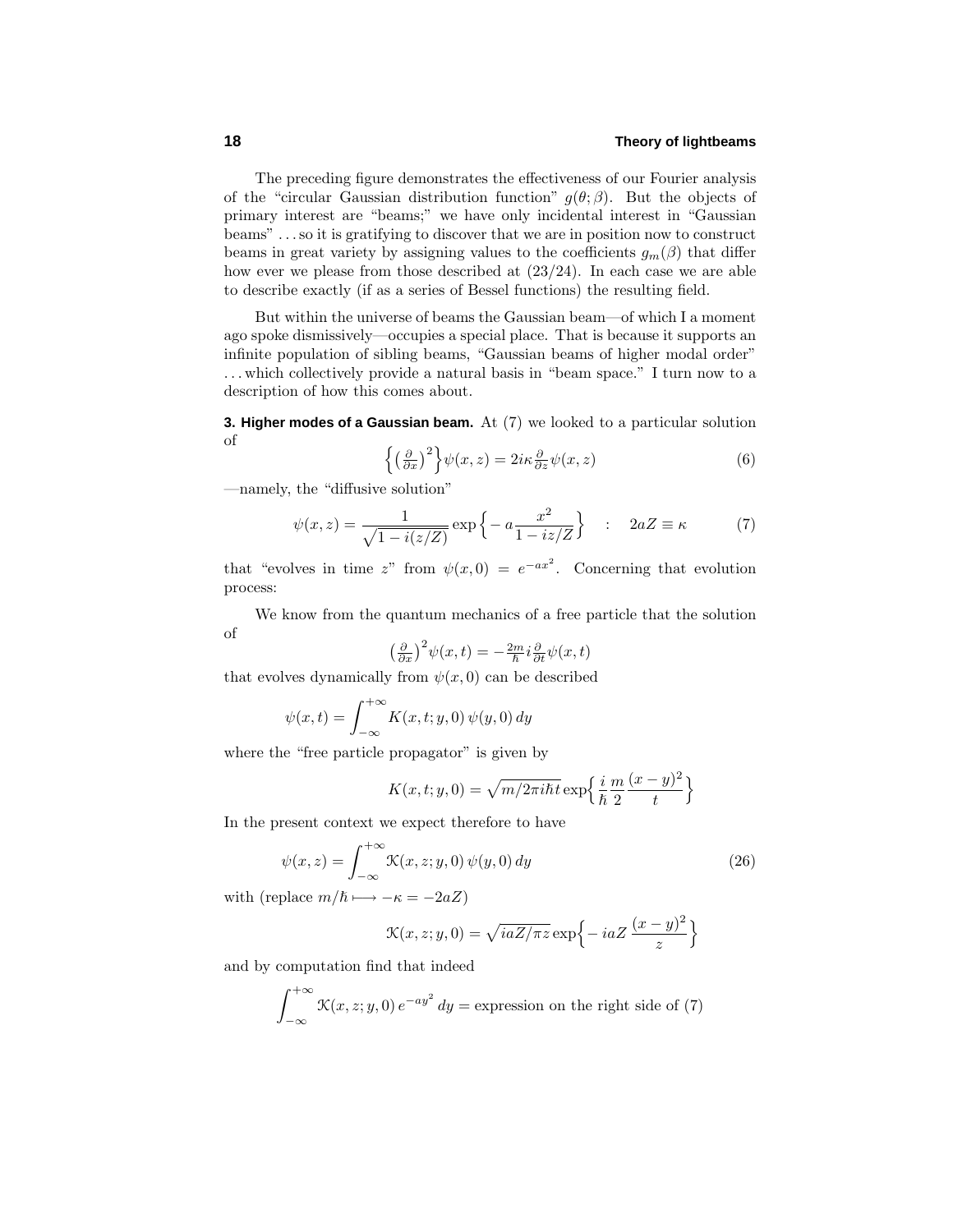The preceding figure demonstrates the effectiveness of our Fourier analysis of the "circular Gaussian distribution function"  $g(\theta; \beta)$ . But the objects of primary interest are "beams;" we have only incidental interest in "Gaussian beams" *...*so it is gratifying to discover that we are in position now to construct beams in great variety by assigning values to the coefficients  $g_m(\beta)$  that differ how ever we please from those described at (23/24). In each case we are able to describe exactly (if as a series of Bessel functions) the resulting field.

But within the universe of beams the Gaussian beam—of which I a moment ago spoke dismissively—occupies a special place. That is because it supports an infinite population of sibling beams, "Gaussian beams of higher modal order" *...* which collectively provide a natural basis in "beam space." I turn now to a description of how this comes about.

**3. Higher modes of a Gaussian beam.** At (7) we looked to a particular solution of

$$
\left\{ \left(\frac{\partial}{\partial x}\right)^2 \right\} \psi(x, z) = 2i\kappa \frac{\partial}{\partial z} \psi(x, z) \tag{6}
$$

—namely, the "diffusive solution"

$$
\psi(x,z) = \frac{1}{\sqrt{1 - i(z/Z)}} \exp\left\{-a \frac{x^2}{1 - iz/Z}\right\} \quad : \quad 2aZ \equiv \kappa \tag{7}
$$

that "evolves in time *z*" from  $\psi(x,0) = e^{-ax^2}$ . Concerning that evolution process:

We know from the quantum mechanics of a free particle that the solution of

$$
\left(\frac{\partial}{\partial x}\right)^2 \psi(x,t) = -\frac{2m}{\hbar} i \frac{\partial}{\partial t} \psi(x,t)
$$

that evolves dynamically from  $\psi(x,0)$  can be described

$$
\psi(x,t) = \int_{-\infty}^{+\infty} K(x,t;y,0) \psi(y,0) dy
$$

where the "free particle propagator" is given by

$$
K(x, t; y, 0) = \sqrt{m/2\pi i\hbar t} \exp\left\{\frac{i}{\hbar} \frac{m}{2} \frac{(x-y)^2}{t}\right\}
$$

In the present context we expect therefore to have

$$
\psi(x,z) = \int_{-\infty}^{+\infty} \mathcal{K}(x,z;y,0) \,\psi(y,0) \,dy \tag{26}
$$

with (replace  $m/\hbar \mapsto -\kappa = -2aZ$ )

$$
\mathcal{K}(x, z; y, 0) = \sqrt{iaZ/\pi z} \exp\left\{-iaZ\frac{(x-y)^2}{z}\right\}
$$

and by computation find that indeed

$$
\int_{-\infty}^{+\infty} \mathcal{K}(x, z; y, 0) e^{-ay^2} dy = \text{expression on the right side of (7)}
$$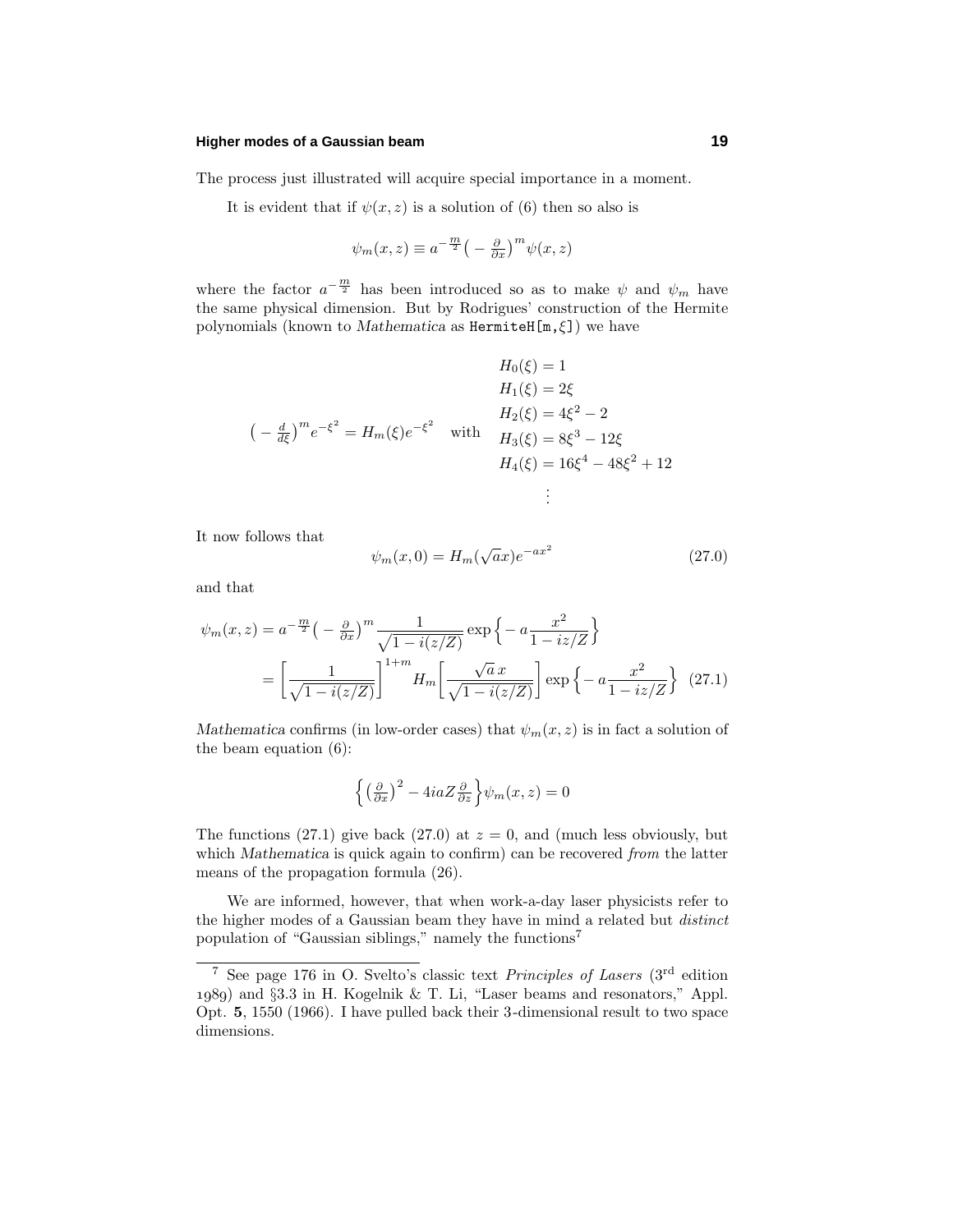#### **Higher modes of a Gaussian beam 19**

The process just illustrated will acquire special importance in a moment.

It is evident that if  $\psi(x, z)$  is a solution of (6) then so also is

$$
\psi_m(x, z) \equiv a^{-\frac{m}{2}} \left( -\frac{\partial}{\partial x} \right)^m \psi(x, z)
$$

where the factor  $a^{-\frac{m}{2}}$  has been introduced so as to make  $\psi$  and  $\psi_m$  have the same physical dimension. But by Rodrigues' construction of the Hermite polynomials (known to *Mathematica* as HermiteH[m,*ξ*]) we have

$$
H_0(\xi) = 1
$$
  
\n
$$
H_1(\xi) = 2\xi
$$
  
\n
$$
H_2(\xi) = 4\xi^2 - 2
$$
  
\n
$$
H_3(\xi) = 8\xi^3 - 12\xi
$$
  
\n
$$
H_4(\xi) = 16\xi^4 - 48\xi^2 + 12
$$
  
\n
$$
\vdots
$$

It now follows that

$$
\psi_m(x,0) = H_m(\sqrt{a}x)e^{-ax^2}
$$
\n(27.0)

and that

$$
\psi_m(x,z) = a^{-\frac{m}{2}} \left( -\frac{\partial}{\partial x} \right)^m \frac{1}{\sqrt{1 - i(z/Z)}} \exp \left\{ -a \frac{x^2}{1 - iz/Z} \right\}
$$

$$
= \left[ \frac{1}{\sqrt{1 - i(z/Z)}} \right]^{1+m} H_m \left[ \frac{\sqrt{a} x}{\sqrt{1 - i(z/Z)}} \right] \exp \left\{ -a \frac{x^2}{1 - iz/Z} \right\} (27.1)
$$

*Mathematica* confirms (in low-order cases) that  $\psi_m(x, z)$  is in fact a solution of the beam equation (6):

$$
\left\{ \left(\frac{\partial}{\partial x}\right)^2 - 4iaZ \frac{\partial}{\partial z} \right\} \psi_m(x, z) = 0
$$

The functions (27.1) give back (27.0) at  $z = 0$ , and (much less obviously, but which *Mathematica* is quick again to confirm) can be recovered from the latter means of the propagation formula (26).

We are informed, however, that when work-a-day laser physicists refer to the higher modes of a Gaussian beam they have in mind a related but distinct population of "Gaussian siblings," namely the functions<sup>7</sup>

<sup>&</sup>lt;sup>7</sup> See page 176 in O. Svelto's classic text *Principles of Lasers* ( $3<sup>rd</sup>$  edition ) and §3.3 in H. Kogelnik & T. Li, "Laser beams and resonators," Appl. Opt. **5**, 1550 (1966). I have pulled back their 3-dimensional result to two space dimensions.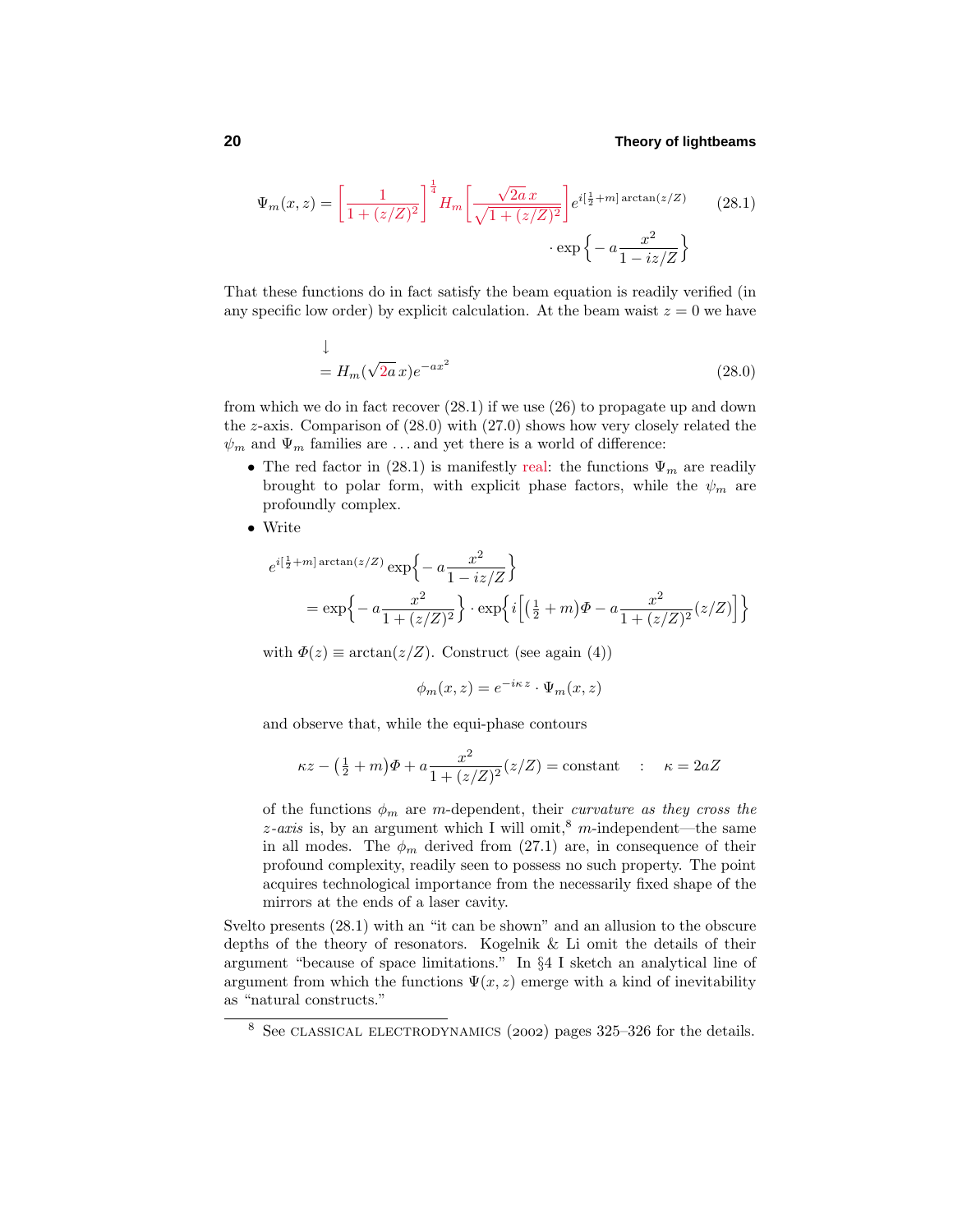$$
\Psi_m(x,z) = \left[\frac{1}{1 + (z/Z)^2}\right]^{\frac{1}{4}} H_m \left[\frac{\sqrt{2a}x}{\sqrt{1 + (z/Z)^2}}\right] e^{i\left[\frac{1}{2} + m\right] \arctan(z/Z)} \qquad (28.1)
$$

$$
\cdot \exp\left\{-a\frac{x^2}{1 - iz/Z}\right\}
$$

That these functions do in fact satisfy the beam equation is readily verified (in any specific low order) by explicit calculation. At the beam waist  $z = 0$  we have

$$
\downarrow
$$
  
=  $H_m(\sqrt{2a}x)e^{-ax^2}$  (28.0)

from which we do in fact recover (28.1) if we use (26) to propagate up and down the *z*-axis. Comparison of (28.0) with (27.0) shows how very closely related the  $\psi_m$  and  $\Psi_m$  families are ...and yet there is a world of difference:

- The red factor in (28.1) is manifestly real: the functions  $\Psi_m$  are readily brought to polar form, with explicit phase factors, while the  $\psi_m$  are profoundly complex.
- Write

$$
e^{i\left(\frac{1}{2}+m\right)\arctan(z/Z)} = \exp\left\{-a\frac{x^2}{1-i z/Z}\right\}
$$

$$
= \exp\left\{-a\frac{x^2}{1+(z/Z)^2}\right\} \cdot \exp\left\{i\left[\left(\frac{1}{2}+m\right)\Phi - a\frac{x^2}{1+(z/Z)^2}(z/Z)\right]\right\}
$$

with  $\Phi(z) \equiv \arctan(z/Z)$ . Construct (see again (4))

$$
\phi_m(x, z) = e^{-i\kappa z} \cdot \Psi_m(x, z)
$$

and observe that, while the equi-phase contours

$$
\kappa z - \left(\frac{1}{2} + m\right)\Phi + a \frac{x^2}{1 + (z/Z)^2} (z/Z) = \text{constant} \quad : \quad \kappa = 2aZ
$$

of the functions  $\phi_m$  are *m*-dependent, their *curvature as they cross the*  $z$ -axis is, by an argument which I will omit,<sup>8</sup> *m*-independent—the same in all modes. The  $\phi_m$  derived from (27.1) are, in consequence of their profound complexity, readily seen to possess no such property. The point acquires technological importance from the necessarily fixed shape of the mirrors at the ends of a laser cavity.

Svelto presents (28.1) with an "it can be shown" and an allusion to the obscure depths of the theory of resonators. Kogelnik & Li omit the details of their argument "because of space limitations." In §4 I sketch an analytical line of argument from which the functions  $\Psi(x, z)$  emerge with a kind of inevitability as "natural constructs."

 $8$  See CLASSICAL ELECTRODYNAMICS (2002) pages 325–326 for the details.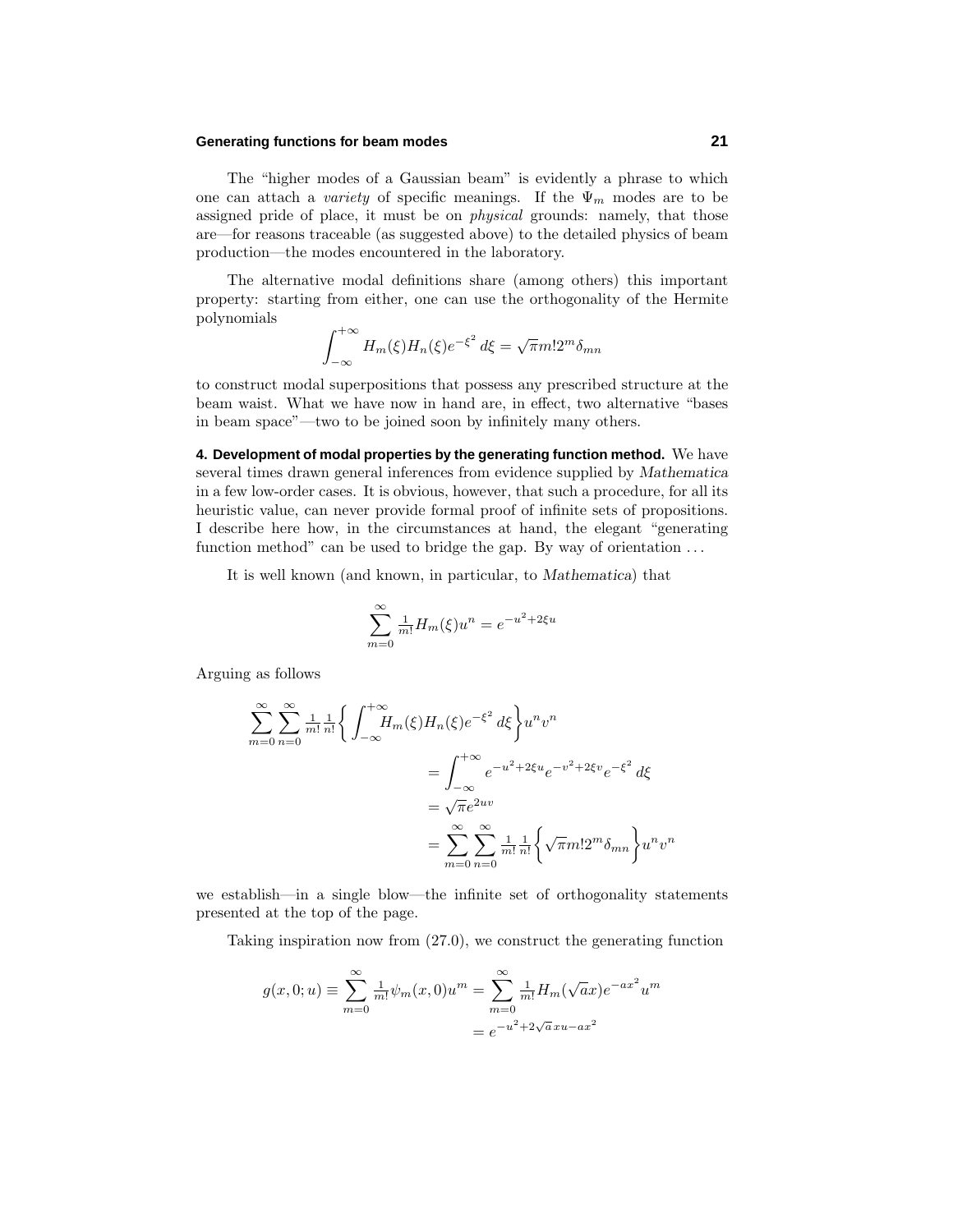#### **Generating functions for beam modes 21**

The "higher modes of a Gaussian beam" is evidently a phrase to which one can attach a *variety* of specific meanings. If the  $\Psi_m$  modes are to be assigned pride of place, it must be on *physical* grounds: namely, that those are—for reasons traceable (as suggested above) to the detailed physics of beam production—the modes encountered in the laboratory.

The alternative modal definitions share (among others) this important property: starting from either, one can use the orthogonality of the Hermite polynomials

$$
\int_{-\infty}^{+\infty} H_m(\xi) H_n(\xi) e^{-\xi^2} d\xi = \sqrt{\pi} m! 2^m \delta_{mn}
$$

to construct modal superpositions that possess any prescribed structure at the beam waist. What we have now in hand are, in effect, two alternative "bases in beam space"—two to be joined soon by infinitely many others.

**4. Development of modal properties by the generating function method.** We have several times drawn general inferences from evidence supplied by *Mathematica* in a few low-order cases. It is obvious, however, that such a procedure, for all its heuristic value, can never provide formal proof of infinite sets of propositions. I describe here how, in the circumstances at hand, the elegant "generating function method" can be used to bridge the gap. By way of orientation *...*

It is well known (and known, in particular, to *Mathematica*) that

$$
\sum_{m=0}^{\infty} \frac{1}{m!} H_m(\xi) u^n = e^{-u^2 + 2\xi u}
$$

Arguing as follows

$$
\sum_{m=0}^{\infty} \sum_{n=0}^{\infty} \frac{1}{m!} \frac{1}{n!} \left\{ \int_{-\infty}^{+\infty} H_m(\xi) H_n(\xi) e^{-\xi^2} d\xi \right\} u^n v^n
$$
  
= 
$$
\int_{-\infty}^{+\infty} e^{-u^2 + 2\xi u} e^{-v^2 + 2\xi v} e^{-\xi^2} d\xi
$$
  
= 
$$
\sqrt{\pi} e^{2uv}
$$
  
= 
$$
\sum_{m=0}^{\infty} \sum_{n=0}^{\infty} \frac{1}{m!} \frac{1}{n!} \left\{ \sqrt{\pi} m! 2^m \delta_{mn} \right\} u^n v^n
$$

we establish—in a single blow—the infinite set of orthogonality statements presented at the top of the page.

Taking inspiration now from (27.0), we construct the generating function

$$
g(x, 0; u) \equiv \sum_{m=0}^{\infty} \frac{1}{m!} \psi_m(x, 0) u^m = \sum_{m=0}^{\infty} \frac{1}{m!} H_m(\sqrt{a}x) e^{-ax^2} u^m
$$

$$
= e^{-u^2 + 2\sqrt{a}x u - ax^2}
$$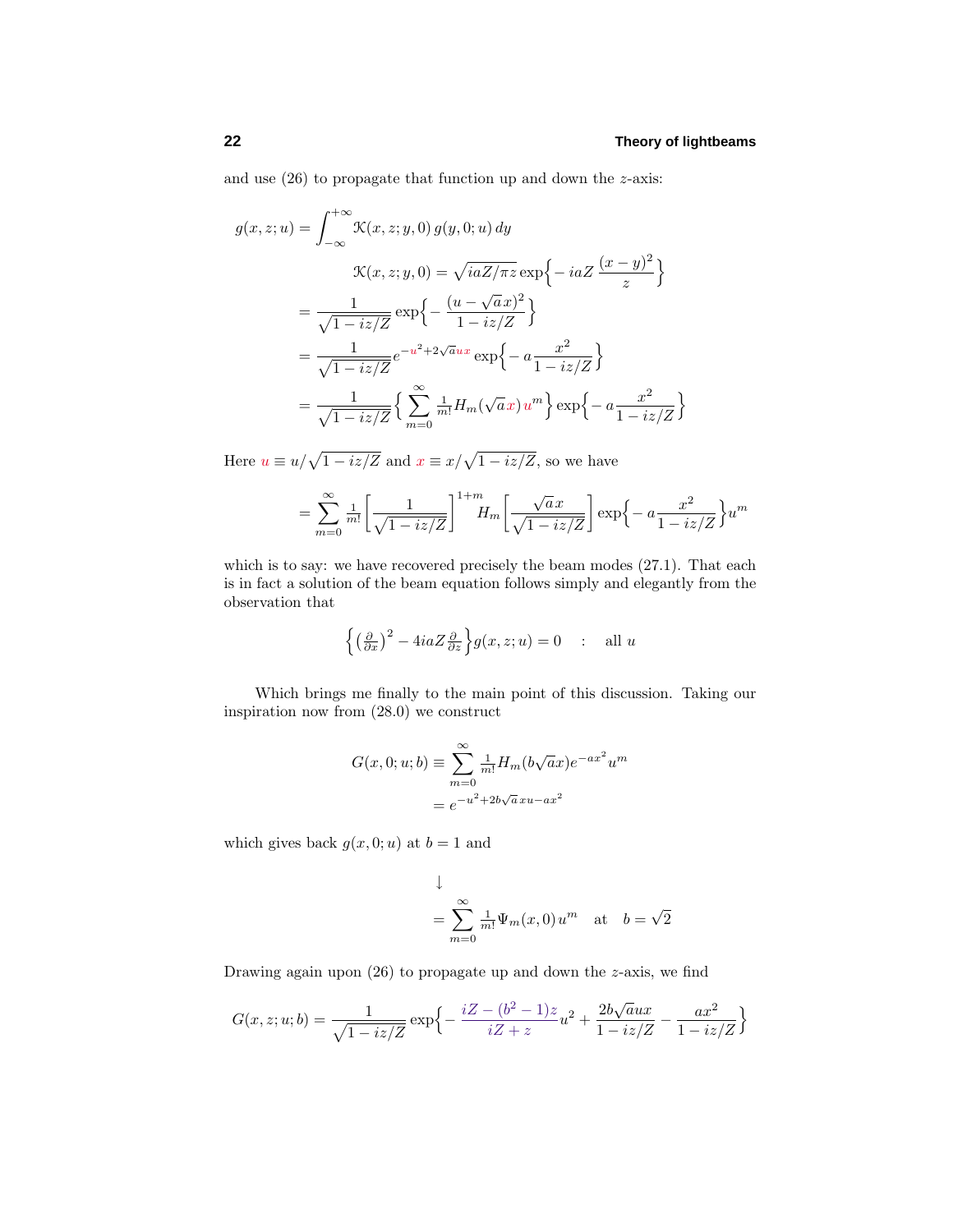and use (26) to propagate that function up and down the *z*-axis:

$$
g(x, z; u) = \int_{-\infty}^{+\infty} \mathcal{K}(x, z; y, 0) g(y, 0; u) dy
$$
  

$$
\mathcal{K}(x, z; y, 0) = \sqrt{iaZ/\pi z} \exp\{-iaZ\left(\frac{(x - y)^2}{z}\right\}
$$
  

$$
= \frac{1}{\sqrt{1 - iz/Z}} \exp\left\{-\frac{(u - \sqrt{a}x)^2}{1 - iz/Z}\right\}
$$
  

$$
= \frac{1}{\sqrt{1 - iz/Z}} e^{-u^2 + 2\sqrt{a}ux} \exp\left\{-a\frac{x^2}{1 - iz/Z}\right\}
$$
  

$$
= \frac{1}{\sqrt{1 - iz/Z}} \left\{\sum_{m=0}^{\infty} \frac{1}{m!} H_m(\sqrt{a}x) u^m\right\} \exp\left\{-a\frac{x^2}{1 - iz/Z}\right\}
$$

Here  $u \equiv u/\sqrt{1 - iz/Z}$  and  $x \equiv x/\sqrt{1 - iz/Z}$ , so we have

$$
= \sum_{m=0}^{\infty} \frac{1}{m!} \left[ \frac{1}{\sqrt{1 - iz/Z}} \right]^{1+m} H_m \left[ \frac{\sqrt{a}x}{\sqrt{1 - iz/Z}} \right] \exp\left\{-a \frac{x^2}{1 - iz/Z} \right\} u^m
$$

which is to say: we have recovered precisely the beam modes  $(27.1)$ . That each is in fact a solution of the beam equation follows simply and elegantly from the observation that

$$
\left\{ \left(\frac{\partial}{\partial x}\right)^2 - 4iaZ \frac{\partial}{\partial z} \right\} g(x, z; u) = 0 \quad : \text{ all } u
$$

Which brings me finally to the main point of this discussion. Taking our inspiration now from (28.0) we construct

$$
G(x, 0; u; b) \equiv \sum_{m=0}^{\infty} \frac{1}{m!} H_m(b\sqrt{a}x)e^{-ax^2}u^m
$$

$$
= e^{-u^2 + 2b\sqrt{a}xu - ax^2}
$$

which gives back  $g(x, 0; u)$  at  $b = 1$  and

$$
\downarrow
$$
  
=  $\sum_{m=0}^{\infty} \frac{1}{m!} \Psi_m(x,0) u^m$  at  $b = \sqrt{2}$ 

Drawing again upon (26) to propagate up and down the *z*-axis, we find

$$
G(x, z; u; b) = \frac{1}{\sqrt{1 - iz/Z}} \exp \left\{ -\frac{iZ - (b^2 - 1)z}{iZ + z} u^2 + \frac{2b\sqrt{a}ux}{1 - iz/Z} - \frac{ax^2}{1 - iz/Z} \right\}
$$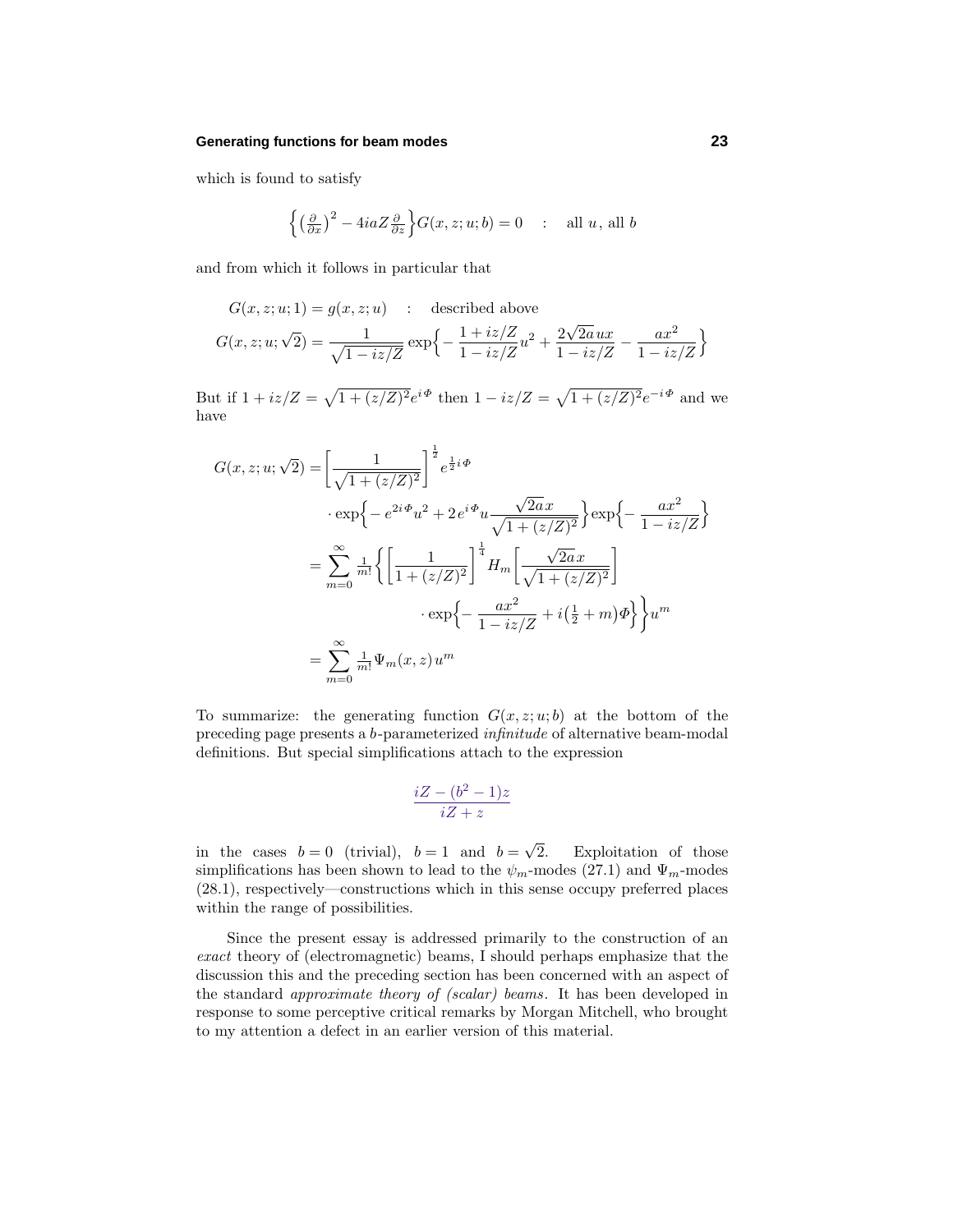#### **Generating functions for beam modes 23**

which is found to satisfy

$$
\left\{ \left(\frac{\partial}{\partial x}\right)^2 - 4iaZ \frac{\partial}{\partial z} \right\} G(x, z; u; b) = 0 \quad : \quad \text{all } u, \text{ all } b
$$

and from which it follows in particular that

$$
G(x, z; u; 1) = g(x, z; u) : described above
$$
  

$$
G(x, z; u; \sqrt{2}) = \frac{1}{\sqrt{1 - iz/Z}} exp\left\{-\frac{1 + iz/Z}{1 - iz/Z}u^{2} + \frac{2\sqrt{2a}ux}{1 - iz/Z} - \frac{ax^{2}}{1 - iz/Z}\right\}
$$

But if  $1 + iz/Z = \sqrt{1 + (z/Z)^2}e^{i\Phi}$  then  $1 - iz/Z = \sqrt{1 + (z/Z)^2}e^{-i\Phi}$  and we have

$$
G(x, z; u; \sqrt{2}) = \left[\frac{1}{\sqrt{1 + (z/Z)^2}}\right]^{\frac{1}{2}} e^{\frac{1}{2}i\Phi}
$$
  
\n
$$
\cdot \exp\left\{-e^{2i\Phi}u^2 + 2e^{i\Phi}u \frac{\sqrt{2a}x}{\sqrt{1 + (z/Z)^2}}\right\} \exp\left\{-\frac{ax^2}{1 - iz/Z}\right\}
$$
  
\n
$$
= \sum_{m=0}^{\infty} \frac{1}{m!} \left\{ \left[\frac{1}{1 + (z/Z)^2}\right]^{\frac{1}{4}} H_m \left[\frac{\sqrt{2a}x}{\sqrt{1 + (z/Z)^2}}\right]
$$
  
\n
$$
\cdot \exp\left\{-\frac{ax^2}{1 - iz/Z} + i\left(\frac{1}{2} + m\right)\Phi\right\} \right\} u^m
$$
  
\n
$$
= \sum_{m=0}^{\infty} \frac{1}{m!} \Psi_m(x, z) u^m
$$

To summarize: the generating function  $G(x, z; u; b)$  at the bottom of the preceding page presents a *b*-parameterized infinitude of alternative beam-modal definitions. But special simplifications attach to the expression

$$
\frac{iZ - (b^2 - 1)z}{iZ + z}
$$

in the cases  $b = 0$  (trivial),  $b = 1$  and  $b = \sqrt{2}$ . Exploitation of those simplifications has been shown to lead to the  $\psi_m$ -modes (27.1) and  $\Psi_m$ -modes (28.1), respectively—constructions which in this sense occupy preferred places within the range of possibilities.

Since the present essay is addressed primarily to the construction of an exact theory of (electromagnetic) beams, I should perhaps emphasize that the discussion this and the preceding section has been concerned with an aspect of the standard approximate theory of (scalar) beams. It has been developed in response to some perceptive critical remarks by Morgan Mitchell, who brought to my attention a defect in an earlier version of this material.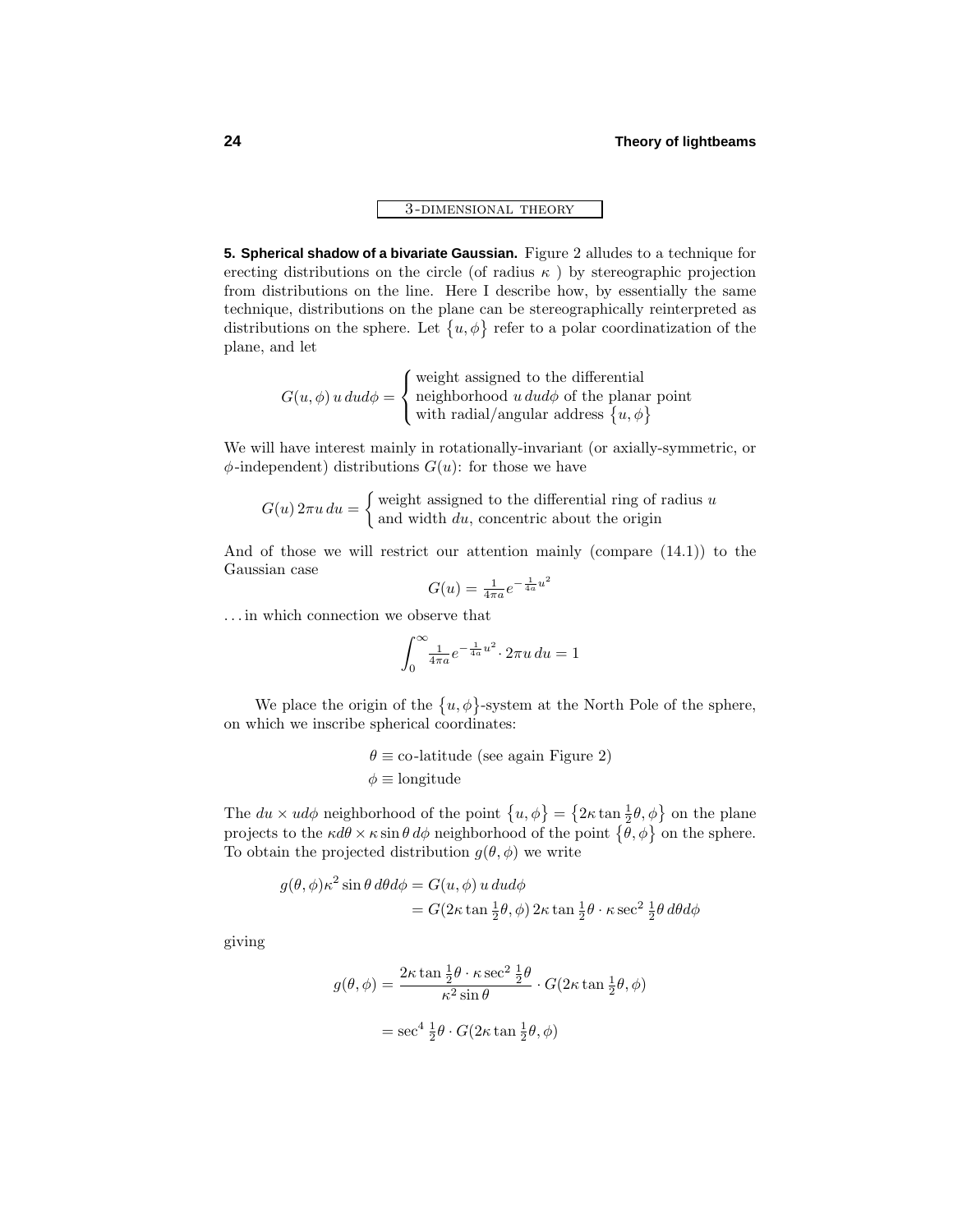3 -dimensional theory

**5. Spherical shadow of a bivariate Gaussian.** Figure 2 alludes to a technique for erecting distributions on the circle (of radius *κ* ) by stereographic projection from distributions on the line. Here I describe how, by essentially the same technique, distributions on the plane can be stereographically reinterpreted as distributions on the sphere. Let  $\{u, \phi\}$  refer to a polar coordinatization of the plane, and let

> $G(u, \phi)$  *u* dud $\phi =$  $\sqrt{ }$ J  $\mathcal{L}$ weight assigned to the differential neighborhood *u dudφ* of the planar point with radial/angular address  $\{u, \phi\}$

We will have interest mainly in rotationally-invariant (or axially-symmetric, or  $\phi$ -independent) distributions  $G(u)$ : for those we have

$$
G(u) 2\pi u \, du = \begin{cases} \text{weight assigned to the differential ring of radius } u \\ \text{and width } du, \text{ concentric about the origin} \end{cases}
$$

And of those we will restrict our attention mainly (compare (14.1)) to the Gaussian case <sup>4</sup>*<sup>a</sup> <sup>u</sup>*<sup>2</sup>

$$
G(u) = \frac{1}{4\pi a}e^{-\frac{1}{4a}u}
$$

*...* in which connection we observe that

$$
\int_0^\infty \frac{1}{4\pi a} e^{-\frac{1}{4a}u^2} \cdot 2\pi u \, du = 1
$$

We place the origin of the  $\{u, \phi\}$ -system at the North Pole of the sphere, on which we inscribe spherical coordinates:

> $\theta \equiv$  co-latitude (see again Figure 2) *φ* ≡ longitude

The  $du \times ud\phi$  neighborhood of the point  $\{u, \phi\} = \{2\kappa \tan \frac{1}{2}\theta, \phi\}$  on the plane projects to the  $\kappa d\theta \times \kappa \sin \theta d\phi$  neighborhood of the point  $\{\theta, \phi\}$  on the sphere. To obtain the projected distribution  $g(\theta, \phi)$  we write

$$
g(\theta, \phi)\kappa^2 \sin \theta \, d\theta d\phi = G(u, \phi) \, u \, dud\phi
$$
  
=  $G(2\kappa \tan \frac{1}{2}\theta, \phi) \, 2\kappa \tan \frac{1}{2}\theta \cdot \kappa \sec^2 \frac{1}{2}\theta \, d\theta d\phi$ 

giving

$$
g(\theta, \phi) = \frac{2\kappa \tan \frac{1}{2}\theta \cdot \kappa \sec^2 \frac{1}{2}\theta}{\kappa^2 \sin \theta} \cdot G(2\kappa \tan \frac{1}{2}\theta, \phi)
$$

$$
= \sec^4 \frac{1}{2}\theta \cdot G(2\kappa \tan \frac{1}{2}\theta, \phi)
$$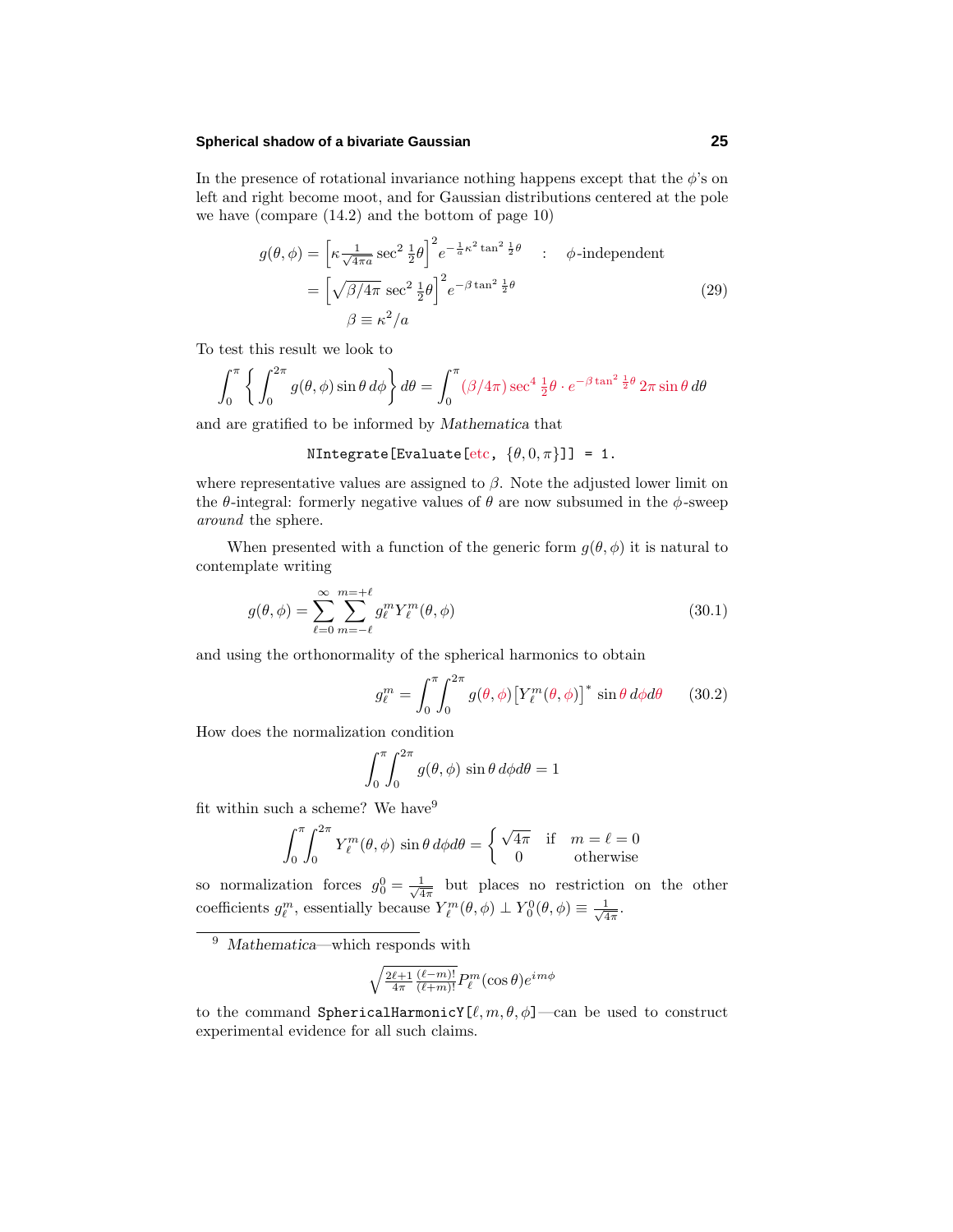## **Spherical shadow of a bivariate Gaussian 25**

In the presence of rotational invariance nothing happens except that the  $\phi$ 's on left and right become moot, and for Gaussian distributions centered at the pole we have (compare (14.2) and the bottom of page 10)

$$
g(\theta, \phi) = \left[\kappa \frac{1}{\sqrt{4\pi a}} \sec^2 \frac{1}{2}\theta\right]^2 e^{-\frac{1}{a}\kappa^2 \tan^2 \frac{1}{2}\theta} \qquad ; \qquad \phi\text{-independent}
$$

$$
= \left[\sqrt{\beta/4\pi} \sec^2 \frac{1}{2}\theta\right]^2 e^{-\beta \tan^2 \frac{1}{2}\theta} \qquad (29)
$$

$$
\beta \equiv \kappa^2/a
$$

To test this result we look to

$$
\int_0^{\pi} \left\{ \int_0^{2\pi} g(\theta, \phi) \sin \theta \, d\phi \right\} d\theta = \int_0^{\pi} (\beta/4\pi) \sec^4 \frac{1}{2} \theta \cdot e^{-\beta \tan^2 \frac{1}{2} \theta} 2\pi \sin \theta \, d\theta
$$

and are gratified to be informed by *Mathematica* that

# NIntegrate[Evaluate[etc,  $\{\theta, 0, \pi\}$ ]] = 1.

where representative values are assigned to  $\beta$ . Note the adjusted lower limit on the  $\theta$ -integral: formerly negative values of  $\theta$  are now subsumed in the  $\phi$ -sweep around the sphere.

When presented with a function of the generic form  $g(\theta, \phi)$  it is natural to contemplate writing

$$
g(\theta,\phi) = \sum_{\ell=0}^{\infty} \sum_{m=-\ell}^{m=\ell} g_{\ell}^{m} Y_{\ell}^{m}(\theta,\phi)
$$
\n(30.1)

and using the orthonormality of the spherical harmonics to obtain

$$
g_{\ell}^{m} = \int_{0}^{\pi} \int_{0}^{2\pi} g(\theta, \phi) \left[ Y_{\ell}^{m}(\theta, \phi) \right]^* \sin \theta \, d\phi d\theta \qquad (30.2)
$$

How does the normalization condition

$$
\int_0^{\pi} \int_0^{2\pi} g(\theta, \phi) \sin \theta \, d\phi d\theta = 1
$$

fit within such a scheme? We have  $9$ 

$$
\int_0^{\pi} \int_0^{2\pi} Y_{\ell}^{m}(\theta, \phi) \sin \theta \, d\phi d\theta = \begin{cases} \sqrt{4\pi} & \text{if } m = \ell = 0\\ 0 & \text{otherwise} \end{cases}
$$

so normalization forces  $g_0^0 = \frac{1}{\sqrt{4\pi}}$  but places no restriction on the other coefficients  $g_{\ell}^{m}$ , essentially because  $Y_{\ell}^{m}(\theta,\phi) \perp Y_{0}^{0}(\theta,\phi) \equiv \frac{1}{\sqrt{4\pi}}$ .

$$
\sqrt{\tfrac{2\ell+1}{4\pi}\tfrac{(\ell-m)!}{(\ell+m)!}}P_\ell^m(\cos\theta)e^{im\phi}
$$

to the command SphericalHarmonicY $[\ell, m, \theta, \phi]$ —can be used to construct experimental evidence for all such claims.

<sup>9</sup> *Mathematica*—which responds with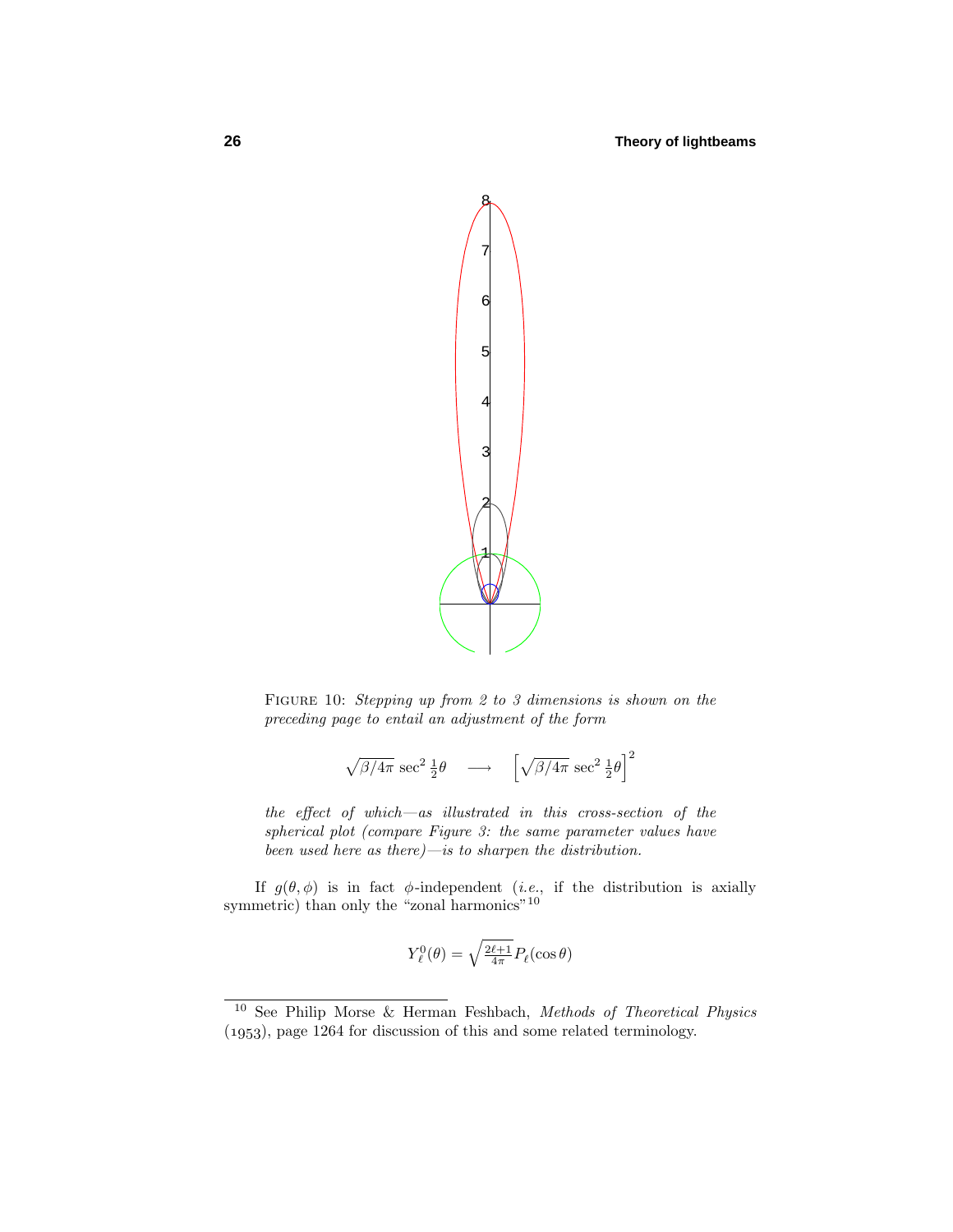

FIGURE 10: Stepping up from 2 to 3 dimensions is shown on the preceding page to entail an adjustment of the form

$$
\sqrt{\beta/4\pi} \sec^2 \frac{1}{2}\theta \quad \longrightarrow \quad \left[\sqrt{\beta/4\pi} \sec^2 \frac{1}{2}\theta\right]^2
$$

the effect of which—as illustrated in this cross-section of the spherical plot (compare Figure 3: the same parameter values have been used here as there)—is to sharpen the distribution.

If  $g(\theta, \phi)$  is in fact  $\phi$ -independent (*i.e.*, if the distribution is axially symmetric) than only the "zonal harmonics"  $^{10}$ 

$$
Y_{\ell}^{0}(\theta) = \sqrt{\frac{2\ell+1}{4\pi}} P_{\ell}(\cos \theta)
$$

<sup>10</sup> See Philip Morse & Herman Feshbach, Methods of Theoretical Physics (1953), page 1264 for discussion of this and some related terminology.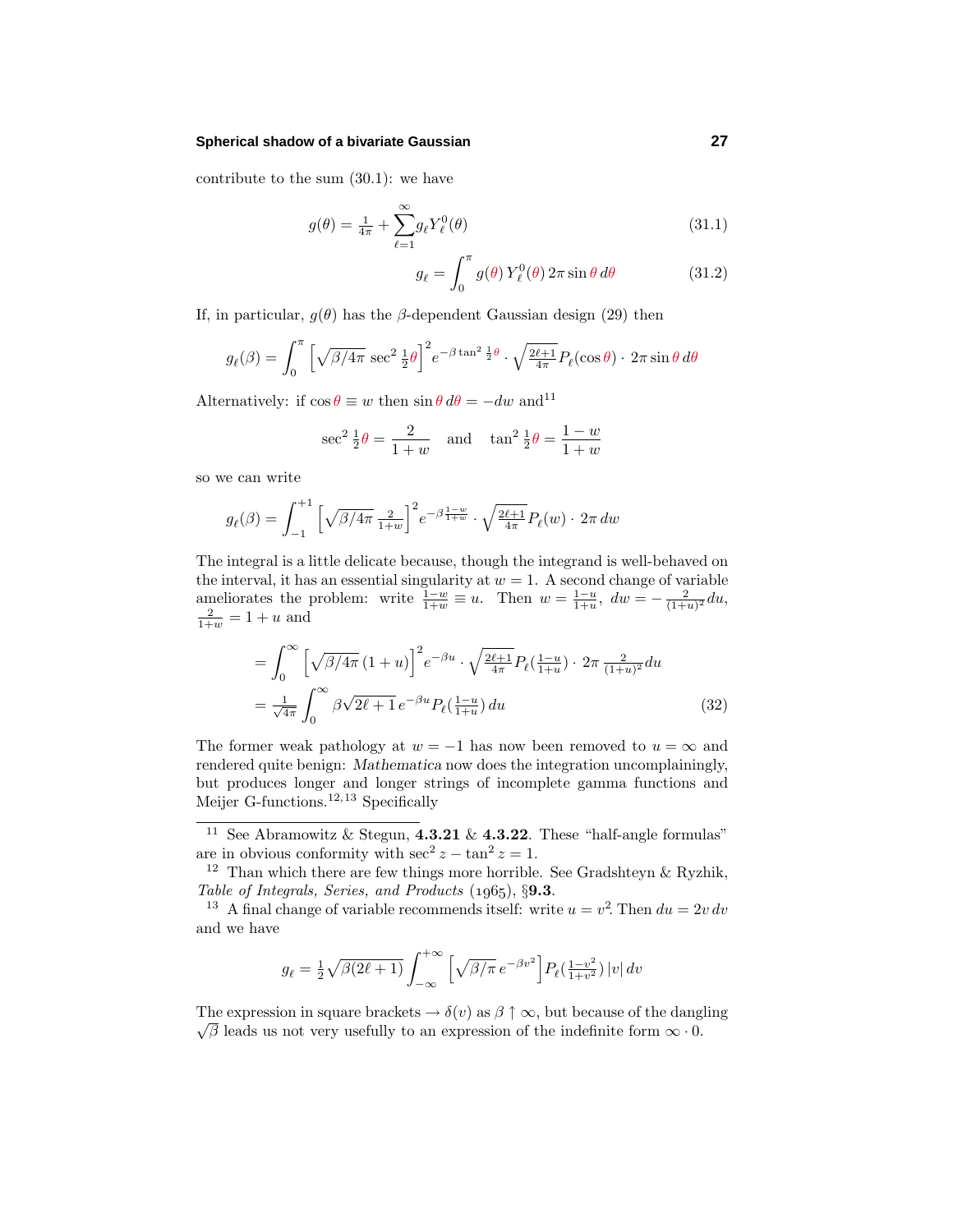#### **Spherical shadow of a bivariate Gaussian 27**

contribute to the sum  $(30.1)$ : we have

$$
g(\theta) = \frac{1}{4\pi} + \sum_{\ell=1}^{\infty} g_{\ell} Y_{\ell}^{0}(\theta)
$$
\n(31.1)

$$
g_{\ell} = \int_0^{\pi} g(\theta) Y_{\ell}^0(\theta) 2\pi \sin \theta d\theta \qquad (31.2)
$$

If, in particular,  $g(\theta)$  has the *β*-dependent Gaussian design (29) then

$$
g_{\ell}(\beta) = \int_0^{\pi} \left[ \sqrt{\beta/4\pi} \sec^2 \frac{1}{2} \theta \right]^2 e^{-\beta \tan^2 \frac{1}{2} \theta} \cdot \sqrt{\frac{2\ell+1}{4\pi}} P_{\ell}(\cos \theta) \cdot 2\pi \sin \theta d\theta
$$

Alternatively: if  $\cos \theta \equiv w$  then  $\sin \theta d\theta = -dw$  and<sup>11</sup>

$$
\sec^2 \frac{1}{2}\theta = \frac{2}{1+w}
$$
 and  $\tan^2 \frac{1}{2}\theta = \frac{1-w}{1+w}$ 

so we can write

$$
g_{\ell}(\beta) = \int_{-1}^{+1} \left[ \sqrt{\beta/4\pi} \, \frac{2}{1+w} \right]^2 e^{-\beta \frac{1-w}{1+w}} \cdot \sqrt{\frac{2\ell+1}{4\pi}} P_{\ell}(w) \cdot 2\pi \, dw
$$

The integral is a little delicate because, though the integrand is well-behaved on the interval, it has an essential singularity at  $w = 1$ . A second change of variable ameliorates the problem: write  $\frac{1-w}{1+w} \equiv u$ . Then  $w = \frac{1-u}{1+u}$ ,  $dw = -\frac{2}{(1+u)^2} du$ ,  $\frac{2}{1+w} = 1 + u$  and

$$
= \int_0^\infty \left[ \sqrt{\beta/4\pi} \left( 1 + u \right) \right]^2 e^{-\beta u} \cdot \sqrt{\frac{2\ell+1}{4\pi}} P_\ell(\frac{1-u}{1+u}) \cdot 2\pi \frac{2}{(1+u)^2} du
$$
  

$$
= \frac{1}{\sqrt{4\pi}} \int_0^\infty \beta \sqrt{2\ell+1} e^{-\beta u} P_\ell(\frac{1-u}{1+u}) du \tag{32}
$$

The former weak pathology at  $w = -1$  has now been removed to  $u = \infty$  and rendered quite benign: *Mathematica* now does the integration uncomplainingly, but produces longer and longer strings of incomplete gamma functions and Meijer G-functions.<sup>12</sup>*,*<sup>13</sup> Specifically

<sup>13</sup> A final change of variable recommends itself: write  $u = v^2$ . Then  $du = 2v dv$ and we have

$$
g_{\ell} = \frac{1}{2} \sqrt{\beta(2\ell+1)} \int_{-\infty}^{+\infty} \left[ \sqrt{\beta/\pi} e^{-\beta v^2} \right] P_{\ell}(\frac{1-v^2}{1+v^2}) |v| \, dv
$$

The expression in square brackets  $\rightarrow \delta(v)$  as  $\beta \uparrow \infty$ , but because of the dangling  $\sqrt{\beta}$  leads us not very usefully to an expression of the indefinite form  $\infty \cdot 0$ .

<sup>11</sup> See Abramowitz & Stegun, **4.3.21** & **4.3.22**. These "half-angle formulas" are in obvious conformity with  $\sec^2 z - \tan^2 z = 1$ .

<sup>&</sup>lt;sup>12</sup> Than which there are few things more horrible. See Gradshteyn  $\&$  Ryzhik, Table of Integrals, Series, and Products (1965), §9.3.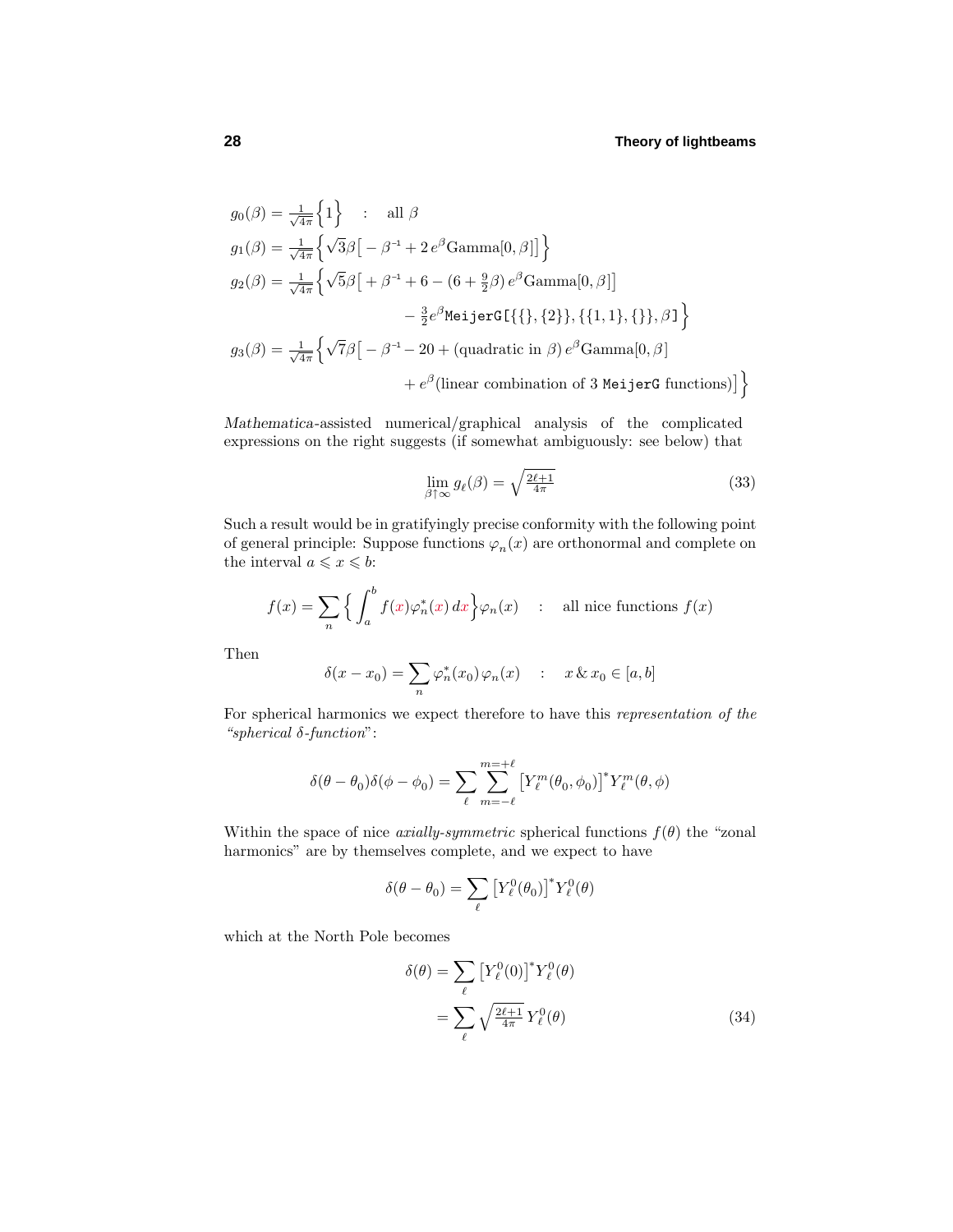$$
g_0(\beta) = \frac{1}{\sqrt{4\pi}} \left\{ 1 \right\} : \text{ all } \beta
$$
  
\n
$$
g_1(\beta) = \frac{1}{\sqrt{4\pi}} \left\{ \sqrt{3}\beta \left[ -\beta^{-1} + 2 e^{\beta} \text{Gamma}[0, \beta] \right] \right\}
$$
  
\n
$$
g_2(\beta) = \frac{1}{\sqrt{4\pi}} \left\{ \sqrt{5}\beta \left[ +\beta^{-1} + 6 - (6 + \frac{9}{2}\beta) e^{\beta} \text{Gamma}[0, \beta] \right] - \frac{3}{2} e^{\beta} \text{Meij} \text{erG}[\{\}, \{2\}, \{\{1, 1\}, \{\}\}, \beta] \right\}
$$
  
\n
$$
g_3(\beta) = \frac{1}{\sqrt{4\pi}} \left\{ \sqrt{7}\beta \left[ -\beta^{-1} - 20 + (\text{quadratic in } \beta) e^{\beta} \text{Gamma}[0, \beta] \right] + e^{\beta} (\text{linear combination of 3 Meij} \text{erG functions}) \right\}
$$

*Mathematica*-assisted numerical/graphical analysis of the complicated expressions on the right suggests (if somewhat ambiguously: see below) that

$$
\lim_{\beta \uparrow \infty} g_{\ell}(\beta) = \sqrt{\frac{2\ell + 1}{4\pi}} \tag{33}
$$

Such a result would be in gratifyingly precise conformity with the following point of general principle: Suppose functions  $\varphi_n(x)$  are orthonormal and complete on the interval  $a \leq x \leq b$ :

$$
f(x) = \sum_{n} \left\{ \int_{a}^{b} f(x) \varphi_{n}^{*}(x) dx \right\} \varphi_{n}(x) \quad : \quad \text{all nice functions } f(x)
$$

Then

$$
\delta(x - x_0) = \sum_n \varphi_n^*(x_0) \varphi_n(x) \quad : \quad x \& x_0 \in [a, b]
$$

For spherical harmonics we expect therefore to have this representation of the "spherical *δ*-function":

$$
\delta(\theta - \theta_0)\delta(\phi - \phi_0) = \sum_{\ell} \sum_{m=-\ell}^{m=+\ell} \left[ Y_{\ell}^m(\theta_0, \phi_0) \right]^* Y_{\ell}^m(\theta, \phi)
$$

Within the space of nice *axially-symmetric* spherical functions  $f(\theta)$  the "zonal" harmonics" are by themselves complete, and we expect to have

$$
\delta(\theta-\theta_0)=\sum_{\ell}\left[Y^0_{\ell}(\theta_0)\right]^*Y^0_{\ell}(\theta)
$$

which at the North Pole becomes

$$
\delta(\theta) = \sum_{\ell} \left[ Y_{\ell}^{0}(0) \right]^* Y_{\ell}^{0}(\theta)
$$

$$
= \sum_{\ell} \sqrt{\frac{2\ell+1}{4\pi}} Y_{\ell}^{0}(\theta) \tag{34}
$$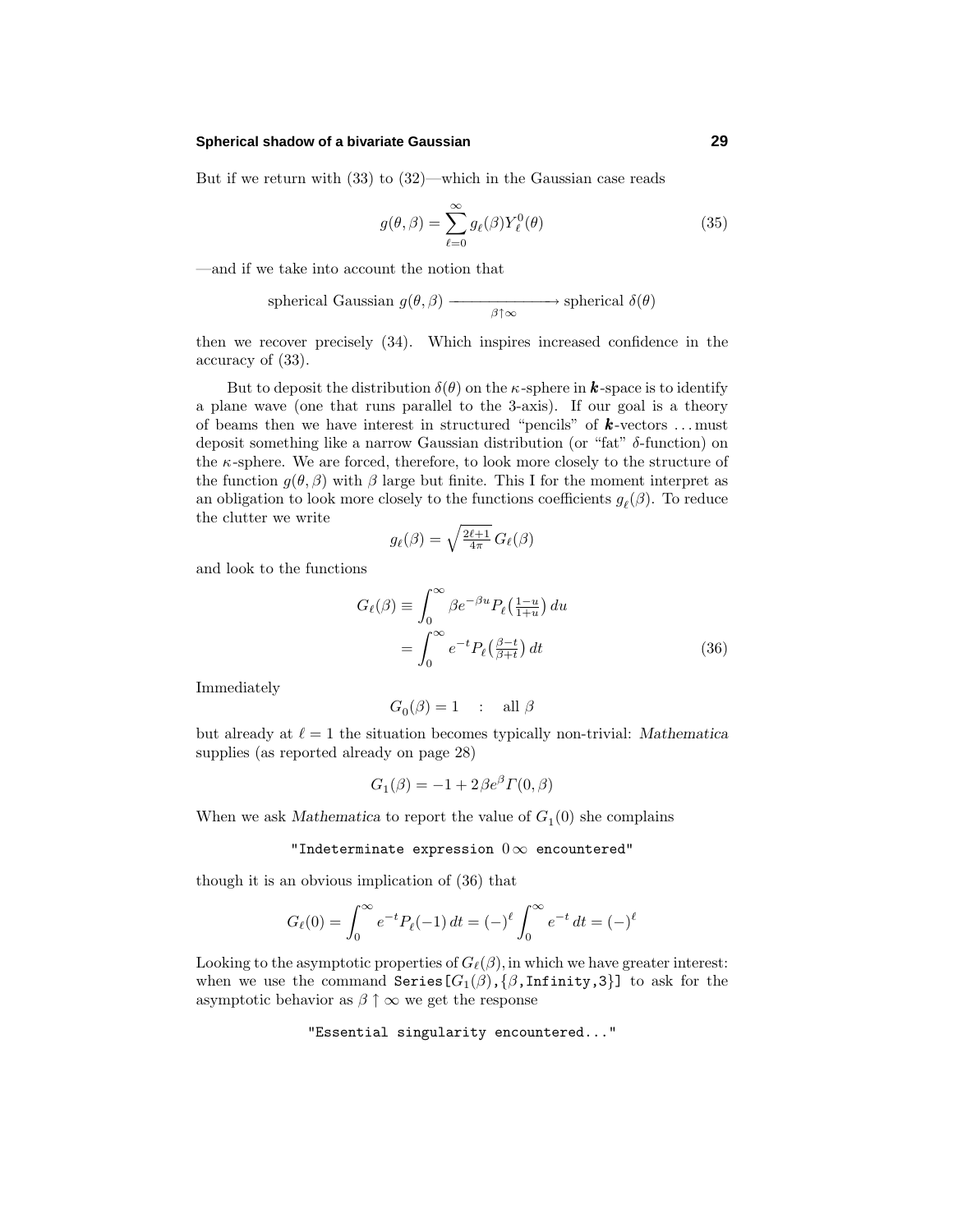#### **Spherical shadow of a bivariate Gaussian 29**

But if we return with (33) to (32)—which in the Gaussian case reads

$$
g(\theta,\beta) = \sum_{\ell=0}^{\infty} g_{\ell}(\beta) Y_{\ell}^{0}(\theta)
$$
\n(35)

—and if we take into account the notion that

spherical Gaussian 
$$
g(\theta, \beta)
$$
  $\longrightarrow$  spherical  $\delta(\theta)$ 

then we recover precisely (34). Which inspires increased confidence in the accuracy of (33).

But to deposit the distribution  $\delta(\theta)$  on the *κ*-sphere in *k*-space is to identify a plane wave (one that runs parallel to the 3-axis). If our goal is a theory of beams then we have interest in structured "pencils" of *k* -vectors *...* must deposit something like a narrow Gaussian distribution (or "fat" *δ*-function) on the *κ*-sphere. We are forced, therefore, to look more closely to the structure of the function  $g(\theta, \beta)$  with  $\beta$  large but finite. This I for the moment interpret as an obligation to look more closely to the functions coefficients  $g_{\ell}(\beta)$ . To reduce the clutter we write

$$
g_{\ell}(\beta) = \sqrt{\frac{2\ell+1}{4\pi}} G_{\ell}(\beta)
$$

and look to the functions

$$
G_{\ell}(\beta) \equiv \int_0^{\infty} \beta e^{-\beta u} P_{\ell}(\frac{1-u}{1+u}) du
$$
  
= 
$$
\int_0^{\infty} e^{-t} P_{\ell}(\frac{\beta-t}{\beta+t}) dt
$$
 (36)

Immediately

$$
G_0(\beta) = 1 \quad : \quad \text{all } \beta
$$

but already at  $\ell = 1$  the situation becomes typically non-trivial: *Mathematica* supplies (as reported already on page 28)

$$
G_1(\beta) = -1 + 2\beta e^{\beta} \Gamma(0, \beta)
$$

When we ask *Mathematica* to report the value of  $G_1(0)$  she complains

#### "Indeterminate expression  $0 \infty$  encountered"

though it is an obvious implication of (36) that

$$
G_{\ell}(0) = \int_0^{\infty} e^{-t} P_{\ell}(-1) dt = (-)^{\ell} \int_0^{\infty} e^{-t} dt = (-)^{\ell}
$$

Looking to the asymptotic properties of  $G_{\ell}(\beta)$ , in which we have greater interest: when we use the command  $Series[G_1(\beta), \{\beta, \text{Infinity}, 3\}]$  to ask for the asymptotic behavior as  $\beta \uparrow \infty$  we get the response

"Essential singularity encountered..."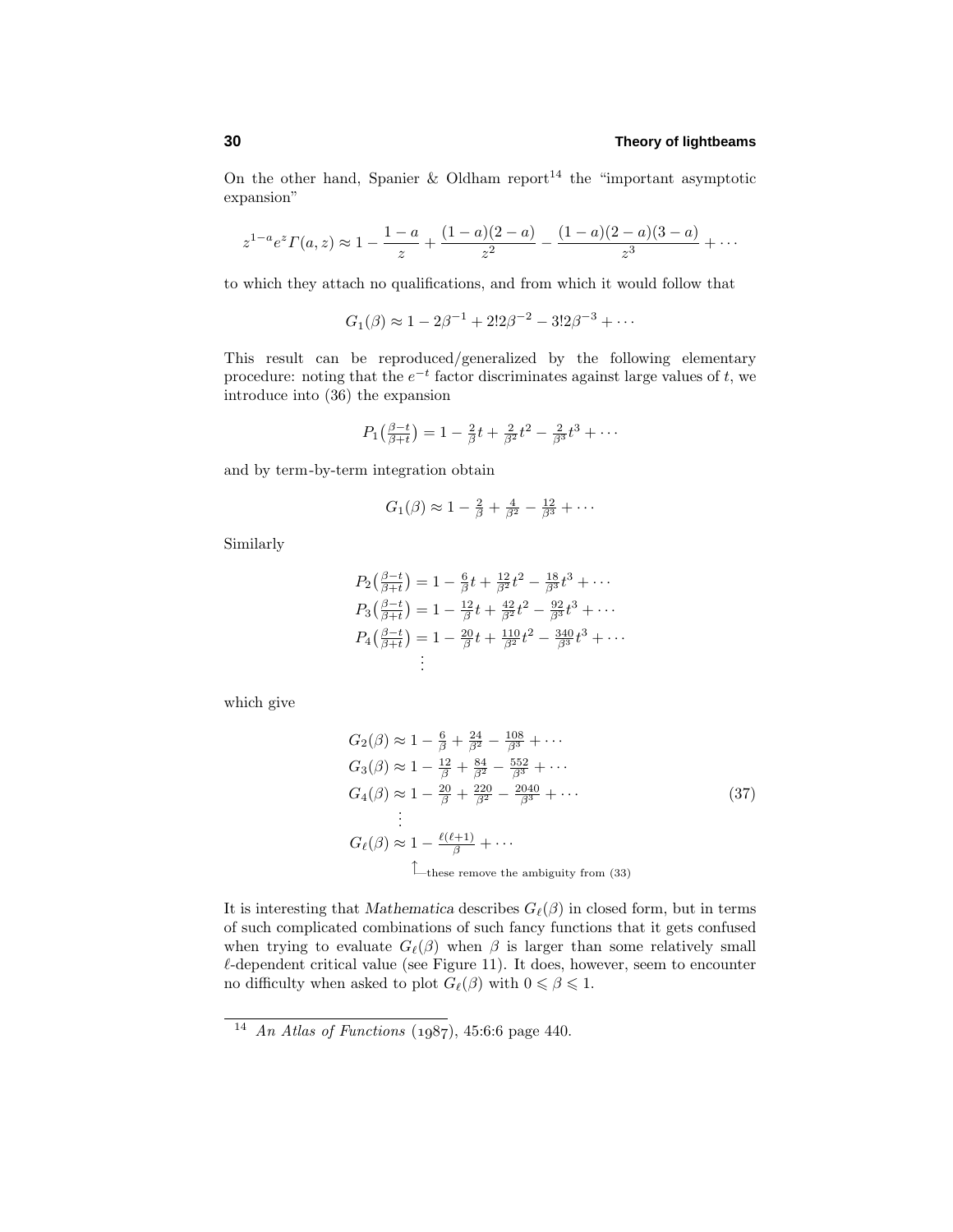On the other hand, Spanier & Oldham report<sup>14</sup> the "important asymptotic expansion"

$$
z^{1-a}e^z\Gamma(a,z) \approx 1 - \frac{1-a}{z} + \frac{(1-a)(2-a)}{z^2} - \frac{(1-a)(2-a)(3-a)}{z^3} + \cdots
$$

to which they attach no qualifications, and from which it would follow that

 $G_1(\beta) \approx 1 - 2\beta^{-1} + 2!2\beta^{-2} - 3!2\beta^{-3} + \cdots$ 

This result can be reproduced/generalized by the following elementary procedure: noting that the  $e^{-t}$  factor discriminates against large values of *t*, we introduce into (36) the expansion

$$
P_1\left(\frac{\beta-t}{\beta+t}\right) = 1 - \frac{2}{\beta}t + \frac{2}{\beta^2}t^2 - \frac{2}{\beta^3}t^3 + \cdots
$$

and by term-by-term integration obtain

$$
G_1(\beta) \approx 1 - \frac{2}{\beta} + \frac{4}{\beta^2} - \frac{12}{\beta^3} + \cdots
$$

Similarly

$$
P_2\left(\frac{\beta-t}{\beta+t}\right) = 1 - \frac{6}{\beta}t + \frac{12}{\beta^2}t^2 - \frac{18}{\beta^3}t^3 + \cdots
$$
  
\n
$$
P_3\left(\frac{\beta-t}{\beta+t}\right) = 1 - \frac{12}{\beta}t + \frac{42}{\beta^2}t^2 - \frac{92}{\beta^3}t^3 + \cdots
$$
  
\n
$$
P_4\left(\frac{\beta-t}{\beta+t}\right) = 1 - \frac{20}{\beta}t + \frac{110}{\beta^2}t^2 - \frac{340}{\beta^3}t^3 + \cdots
$$
  
\n
$$
\vdots
$$

which give

$$
G_2(\beta) \approx 1 - \frac{6}{\beta} + \frac{24}{\beta^2} - \frac{108}{\beta^3} + \cdots
$$
  
\n
$$
G_3(\beta) \approx 1 - \frac{12}{\beta} + \frac{84}{\beta^2} - \frac{552}{\beta^3} + \cdots
$$
  
\n
$$
G_4(\beta) \approx 1 - \frac{20}{\beta} + \frac{220}{\beta^2} - \frac{2040}{\beta^3} + \cdots
$$
  
\n
$$
\vdots
$$
  
\n
$$
G_{\ell}(\beta) \approx 1 - \frac{\ell(\ell+1)}{\beta} + \cdots
$$
  
\n
$$
\qquad \qquad \text{These remove the ambiguity from (33)}
$$

It is interesting that *Mathematica* describes  $G_{\ell}(\beta)$  in closed form, but in terms of such complicated combinations of such fancy functions that it gets confused when trying to evaluate  $G_{\ell}(\beta)$  when  $\beta$  is larger than some relatively small  $\ell$ -dependent critical value (see Figure 11). It does, however, seem to encounter no difficulty when asked to plot  $G_{\ell}(\beta)$  with  $0 \le \beta \le 1$ .

 $\frac{14}{14}$  An Atlas of Functions (1987), 45:6:6 page 440.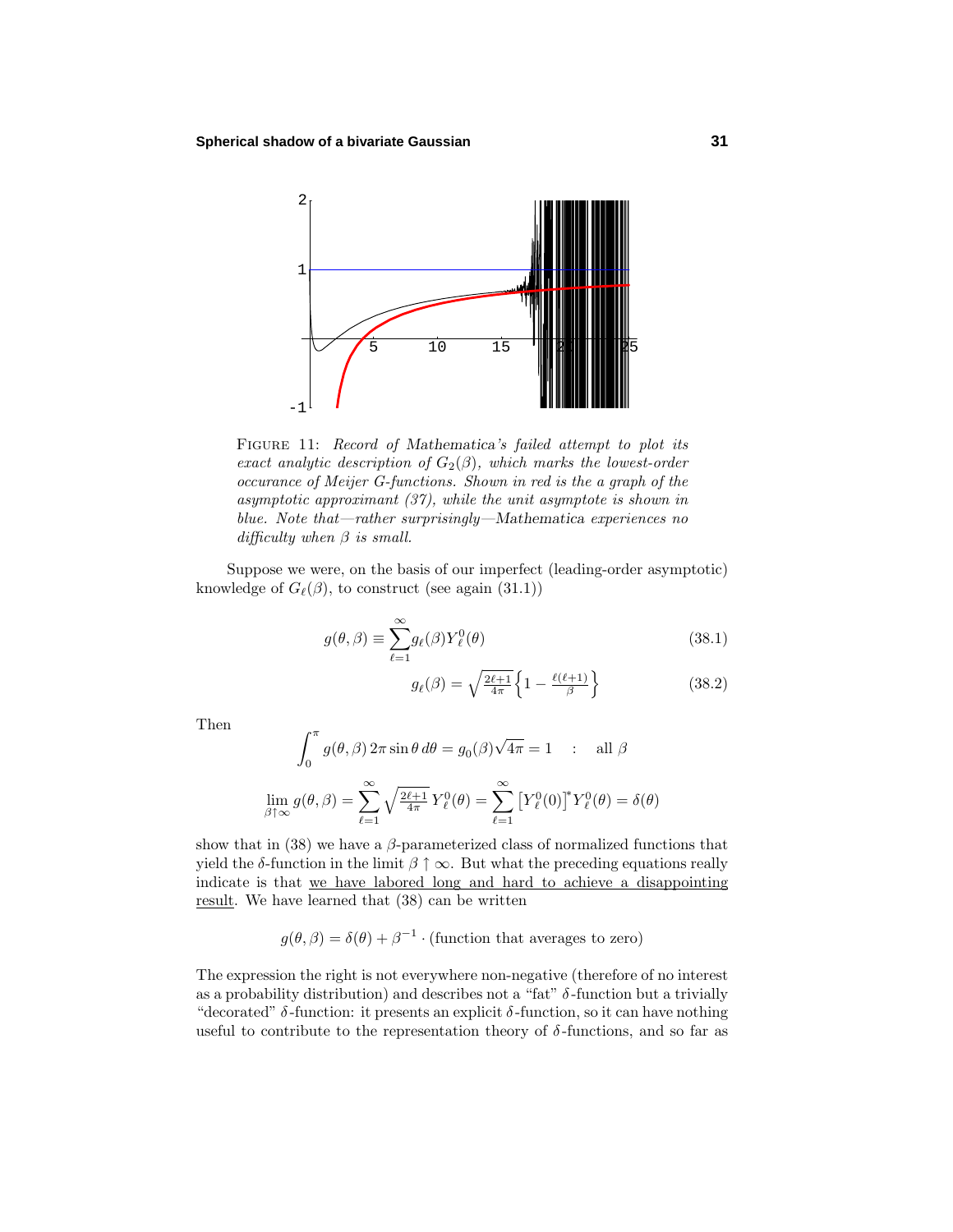

Figure 11: Record of *Mathematica*'s failed attempt to plot its exact analytic description of  $G_2(\beta)$ , which marks the lowest-order occurance of Meijer G-functions. Shown in red is the a graph of the asymptotic approximant (37), while the unit asymptote is shown in blue. Note that—rather surprisingly—*Mathematica* experiences no difficulty when *β* is small.

Suppose we were, on the basis of our imperfect (leading-order asymptotic) knowledge of  $G_{\ell}(\beta)$ , to construct (see again (31.1))

$$
g(\theta,\beta) \equiv \sum_{\ell=1}^{\infty} g_{\ell}(\beta) Y_{\ell}^{0}(\theta)
$$
\n(38.1)

$$
g_{\ell}(\beta) = \sqrt{\frac{2\ell+1}{4\pi}} \left\{ 1 - \frac{\ell(\ell+1)}{\beta} \right\} \tag{38.2}
$$

Then

$$
\int_0^{\pi} g(\theta, \beta) 2\pi \sin \theta \, d\theta = g_0(\beta) \sqrt{4\pi} = 1 \quad : \quad \text{all } \beta
$$

$$
\lim_{\beta \uparrow \infty} g(\theta, \beta) = \sum_{\ell=1}^{\infty} \sqrt{\frac{2\ell+1}{4\pi}} Y_{\ell}^0(\theta) = \sum_{\ell=1}^{\infty} \left[ Y_{\ell}^0(0) \right]^* Y_{\ell}^0(\theta) = \delta(\theta)
$$

show that in  $(38)$  we have a  $\beta$ -parameterized class of normalized functions that yield the *δ*-function in the limit  $\beta \uparrow \infty$ . But what the preceding equations really indicate is that we have labored long and hard to achieve a disappointing result. We have learned that (38) can be written

 $g(\theta, \beta) = \delta(\theta) + \beta^{-1} \cdot (\text{function that averages to zero})$ 

The expression the right is not everywhere non-negative (therefore of no interest as a probability distribution) and describes not a "fat"  $\delta$ -function but a trivially "decorated"  $\delta$ -function: it presents an explicit  $\delta$ -function, so it can have nothing useful to contribute to the representation theory of  $\delta$ -functions, and so far as